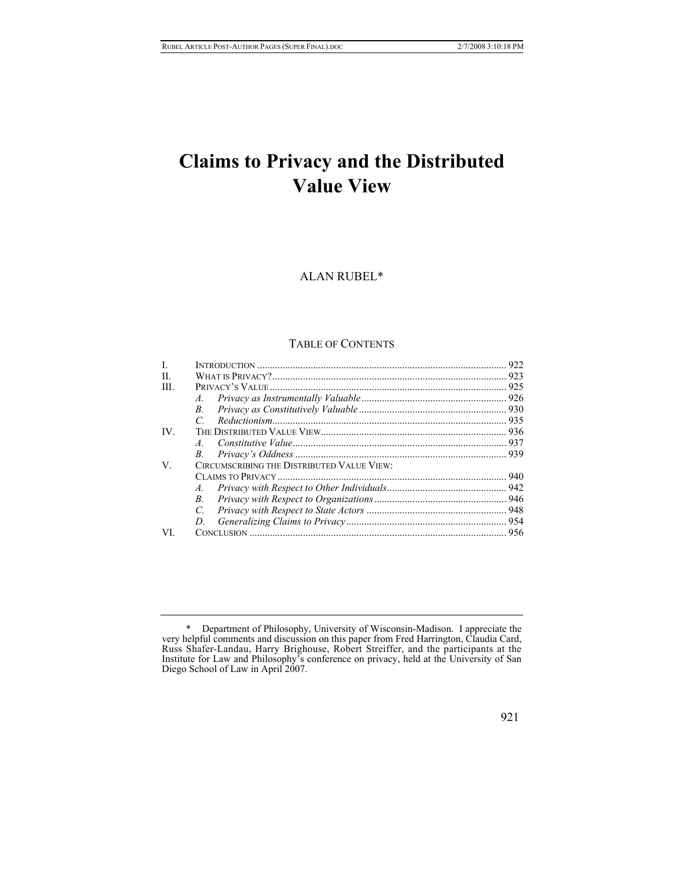# **Claims to Privacy and the Distributed Value View**

# ALAN RUBEL[\\*](#page-0-0)

## TABLE OF CONTENTS

| L    |                                            | 922  |
|------|--------------------------------------------|------|
| H    |                                            |      |
| III. |                                            |      |
|      |                                            |      |
|      | $B_{\cdot}$                                |      |
|      | C                                          |      |
| IV.  |                                            |      |
|      | $\overline{A}$                             |      |
|      |                                            |      |
| V.   | CIRCUMSCRIBING THE DISTRIBUTED VALUE VIEW: |      |
|      |                                            | .940 |
|      |                                            |      |
|      | $B_{\cdot}$                                |      |
|      | C.                                         |      |
|      | D.                                         |      |
| VI.  |                                            |      |

921

<span id="page-0-0"></span> <sup>\*</sup> Department of Philosophy, University of Wisconsin-Madison. I appreciate the very helpful comments and discussion on this paper from Fred Harrington, Claudia Card, Russ Shafer-Landau, Harry Brighouse, Robert Streiffer, and the participants at the Institute for Law and Philosophy's conference on privacy, held at the University of San Diego School of Law in April 2007.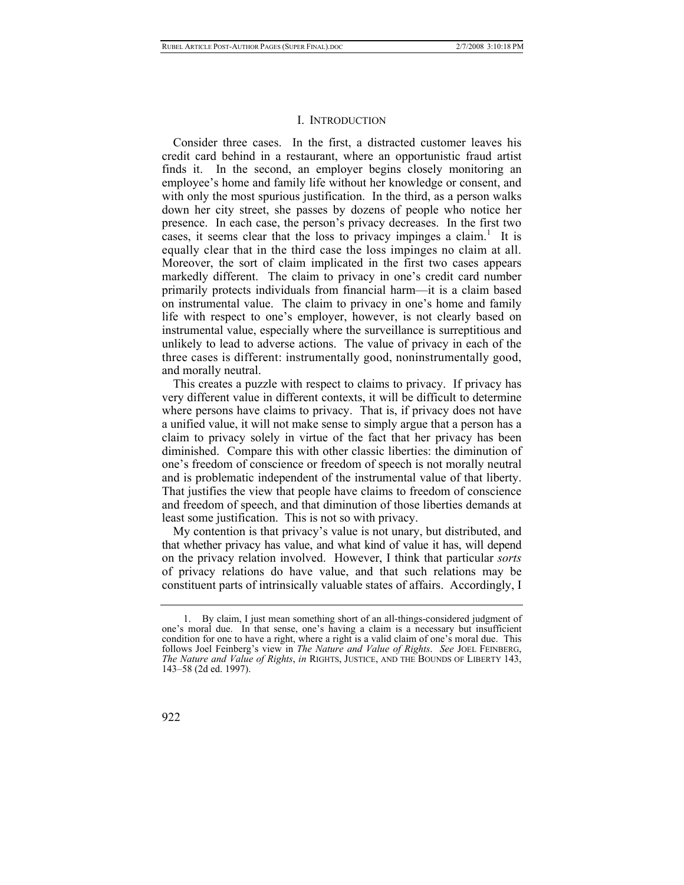#### I. INTRODUCTION

Consider three cases. In the first, a distracted customer leaves his credit card behind in a restaurant, where an opportunistic fraud artist finds it. In the second, an employer begins closely monitoring an employee's home and family life without her knowledge or consent, and with only the most spurious justification. In the third, as a person walks down her city street, she passes by dozens of people who notice her presence. In each case, the person's privacy decreases. In the first two cases,it seems clear that the loss to privacy impinges a claim.<sup>1</sup> It is equally clear that in the third case the loss impinges no claim at all. Moreover, the sort of claim implicated in the first two cases appears markedly different. The claim to privacy in one's credit card number primarily protects individuals from financial harm—it is a claim based on instrumental value. The claim to privacy in one's home and family life with respect to one's employer, however, is not clearly based on instrumental value, especially where the surveillance is surreptitious and unlikely to lead to adverse actions. The value of privacy in each of the three cases is different: instrumentally good, noninstrumentally good, and morally neutral.

This creates a puzzle with respect to claims to privacy. If privacy has very different value in different contexts, it will be difficult to determine where persons have claims to privacy. That is, if privacy does not have a unified value, it will not make sense to simply argue that a person has a claim to privacy solely in virtue of the fact that her privacy has been diminished. Compare this with other classic liberties: the diminution of one's freedom of conscience or freedom of speech is not morally neutral and is problematic independent of the instrumental value of that liberty. That justifies the view that people have claims to freedom of conscience and freedom of speech, and that diminution of those liberties demands at least some justification. This is not so with privacy.

My contention is that privacy's value is not unary, but distributed, and that whether privacy has value, and what kind of value it has, will depend on the privacy relation involved. However, I think that particular *sorts* of privacy relations do have value, and that such relations may be constituent parts of intrinsically valuable states of affairs. Accordingly, I

<span id="page-1-0"></span> <sup>1.</sup> By claim, I just mean something short of an all-things-considered judgment of one's moral due. In that sense, one's having a claim is a necessary but insufficient condition for one to have a right, where a right is a valid claim of one's moral due. This follows Joel Feinberg's view in *The Nature and Value of Rights*. *See* JOEL FEINBERG, *The Nature and Value of Rights*, *in* RIGHTS, JUSTICE, AND THE BOUNDS OF LIBERTY 143, 143–58 (2d ed. 1997).

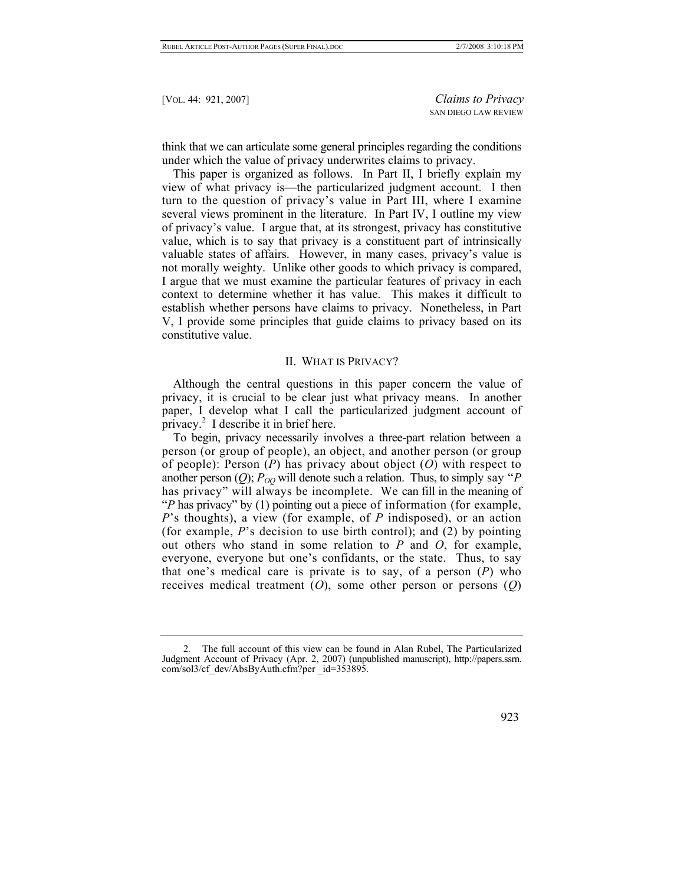think that we can articulate some general principles regarding the conditions under which the value of privacy underwrites claims to privacy.

This paper is organized as follows. In Part II, I briefly explain my view of what privacy is—the particularized judgment account. I then turn to the question of privacy's value in Part III, where I examine several views prominent in the literature. In Part IV, I outline my view of privacy's value. I argue that, at its strongest, privacy has constitutive value, which is to say that privacy is a constituent part of intrinsically valuable states of affairs. However, in many cases, privacy's value is not morally weighty. Unlike other goods to which privacy is compared, I argue that we must examine the particular features of privacy in each context to determine whether it has value. This makes it difficult to establish whether persons have claims to privacy. Nonetheless, in Part V, I provide some principles that guide claims to privacy based on its constitutive value.

# II. WHAT IS PRIVACY?

Although the central questions in this paper concern the value of privacy, it is crucial to be clear just what privacy means. In another paper, I develop what I call the particularized judgment account of privacy.<sup>[2](#page-2-0)</sup> I describe it in brief here.

To begin, privacy necessarily involves a three-part relation between a person (or group of people), an object, and another person (or group of people): Person (*P*) has privacy about object (*O*) with respect to another person  $(Q)$ ;  $P_{OO}$  will denote such a relation. Thus, to simply say "*P* has privacy" will always be incomplete. We can fill in the meaning of "*P* has privacy" by (1) pointing out a piece of information (for example, *P*'s thoughts), a view (for example, of *P* indisposed), or an action (for example, *P*'s decision to use birth control); and (2) by pointing out others who stand in some relation to *P* and *O*, for example, everyone, everyone but one's confidants, or the state. Thus, to say that one's medical care is private is to say, of a person (*P*) who receives medical treatment (*O*), some other person or persons (*Q*)

<span id="page-2-0"></span><sup>2</sup>*.* The full account of this view can be found in Alan Rubel, The Particularized Judgment Account of Privacy (Apr. 2, 2007) (unpublished manuscript), http://papers.ssrn. com/sol3/cf\_dev/AbsByAuth.cfm?per \_id=353895.

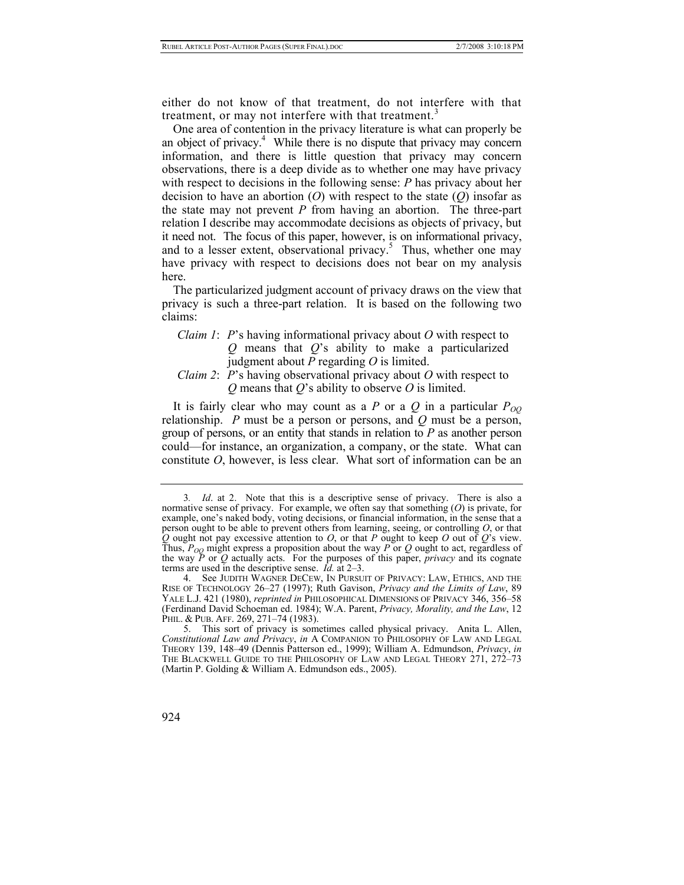either do not know of that treatment, do not interfere with that treatment, or may not interfere with that treatment.<sup>[3](#page-3-0)</sup>

One area of contention in the privacy literature is what can properly be an object of privacy.<sup>4</sup> While there is no dispute that privacy may concern information, and there is little question that privacy may concern observations, there is a deep divide as to whether one may have privacy with respect to decisions in the following sense: *P* has privacy about her decision to have an abortion (*O*) with respect to the state (*Q*) insofar as the state may not prevent *P* from having an abortion. The three-part relation I describe may accommodate decisions as objects of privacy, but it need not. The focus of this paper, however, is on informational privacy, and to a lesser extent, observational privacy.<sup>5</sup> Thus, whether one may have privacy with respect to decisions does not bear on my analysis here.

The particularized judgment account of privacy draws on the view that privacy is such a three-part relation. It is based on the following two claims:

*Claim 1*: *P*'s having informational privacy about *O* with respect to *Q* means that *Q*'s ability to make a particularized judgment about *P* regarding *O* is limited.

# *Claim 2*: *P*'s having observational privacy about *O* with respect to *Q* means that *Q*'s ability to observe *O* is limited.

It is fairly clear who may count as a *P* or a *Q* in a particular  $P_{OO}$ relationship. *P* must be a person or persons, and *Q* must be a person, group of persons, or an entity that stands in relation to *P* as another person could—for instance, an organization, a company, or the state. What can constitute *O*, however, is less clear. What sort of information can be an

924

<span id="page-3-0"></span><sup>3</sup>*. Id*. at 2. Note that this is a descriptive sense of privacy. There is also a normative sense of privacy. For example, we often say that something (*O*) is private, for example, one's naked body, voting decisions, or financial information, in the sense that a person ought to be able to prevent others from learning, seeing, or controlling *O*, or that *Q* ought not pay excessive attention to *O*, or that *P* ought to keep *O* out of *Q*'s view. Thus,  $P_{OO}$  might express a proposition about the way  $\overline{P}$  or  $\overline{Q}$  ought to act, regardless of the way  $\bar{P}$  or  $\bar{Q}$  actually acts. For the purposes of this paper, *privacy* and its cognate terms are used in the descriptive sense. *Id.* at 2–3.

<span id="page-3-1"></span> <sup>4.</sup> See JUDITH WAGNER DECEW, IN PURSUIT OF PRIVACY: LAW, ETHICS, AND THE RISE OF TECHNOLOGY 26–27 (1997); Ruth Gavison, *Privacy and the Limits of Law*, 89 YALE L.J. 421 (1980), *reprinted in* PHILOSOPHICAL DIMENSIONS OF PRIVACY 346, 356–58 (Ferdinand David Schoeman ed. 1984); W.A. Parent, *Privacy, Morality, and the Law*, 12 PHIL. & PUB. AFF. 269, 271-74 (1983).

<span id="page-3-2"></span> <sup>5.</sup> This sort of privacy is sometimes called physical privacy. Anita L. Allen, *Constitutional Law and Privacy*, *in* A COMPANION TO PHILOSOPHY OF LAW AND LEGAL THEORY 139, 148–49 (Dennis Patterson ed., 1999); William A. Edmundson, *Privacy*, *in* THE BLACKWELL GUIDE TO THE PHILOSOPHY OF LAW AND LEGAL THEORY 271, 272–73 (Martin P. Golding & William A. Edmundson eds., 2005).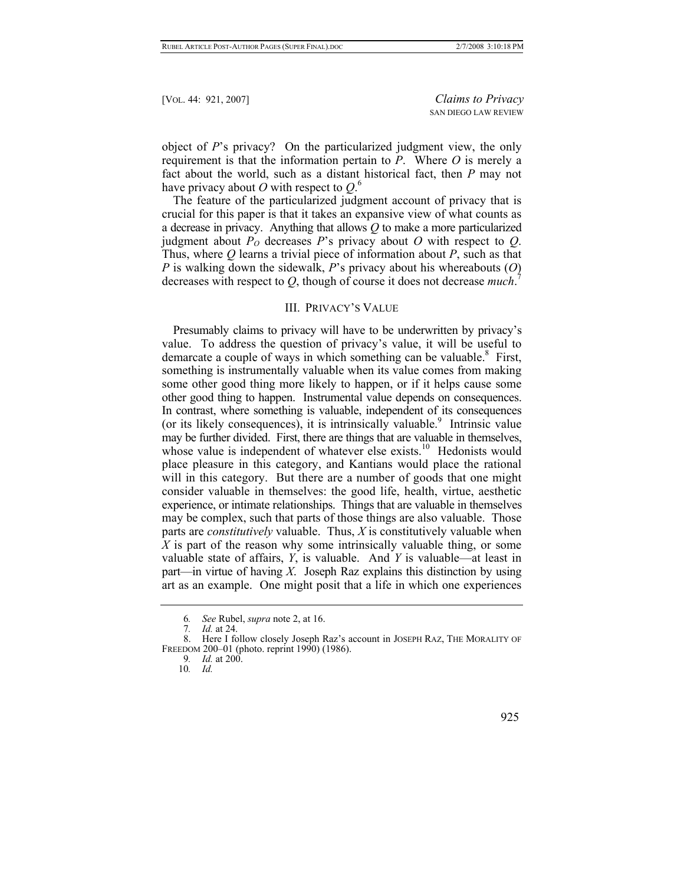object of *P*'s privacy? On the particularized judgment view, the only requirement is that the information pertain to *P*. Where *O* is merely a fact about the world, such as a distant historical fact, then *P* may not have privacy about *O* with respect to *Q*. [6](#page-4-0)

The feature of the particularized judgment account of privacy that is crucial for this paper is that it takes an expansive view of what counts as a decrease in privacy. Anything that allows *Q* to make a more particularized judgment about  $P_0$  decreases  $P$ 's privacy about  $O$  with respect to  $O$ . Thus, where *Q* learns a trivial piece of information about *P*, such as that *P* is walking down the sidewalk, *P*'s privacy about his whereabouts (*O*) decreases with respect to *Q*, though of course it does not decrease *much*. [7](#page-4-1)

#### III. PRIVACY'S VALUE

Presumably claims to privacy will have to be underwritten by privacy's value. To address the question of privacy's value, it will be useful to demarcate a couple of ways in which something can be valuable.<sup>8</sup> First, something is instrumentally valuable when its value comes from making some other good thing more likely to happen, or if it helps cause some other good thing to happen. Instrumental value depends on consequences. In contrast, where something is valuable, independent of its consequences (or its likely consequences), it is intrinsically valuable.<sup>9</sup> Intrinsic value may be further divided. First, there are things that are valuable in themselves, whose value is independent of whatever else exists.<sup>10</sup> Hedonists would place pleasure in this category, and Kantians would place the rational will in this category. But there are a number of goods that one might consider valuable in themselves: the good life, health, virtue, aesthetic experience, or intimate relationships. Things that are valuable in themselves may be complex, such that parts of those things are also valuable. Those parts are *constitutively* valuable. Thus, *X* is constitutively valuable when *X* is part of the reason why some intrinsically valuable thing, or some valuable state of affairs, *Y*, is valuable. And *Y* is valuable—at least in part—in virtue of having *X*. Joseph Raz explains this distinction by using art as an example. One might posit that a life in which one experiences

<span id="page-4-0"></span><sup>6</sup>*. See* Rubel, *supra* note 2, at 16.

<span id="page-4-2"></span><span id="page-4-1"></span><sup>7</sup>*. Id.* at 24.

 <sup>8.</sup> Here I follow closely Joseph Raz's account in JOSEPH RAZ, THE MORALITY OF FREEDOM 200–01 (photo. reprint 1990) (1986).

<span id="page-4-3"></span><sup>9</sup>*. Id.* at 200.

<span id="page-4-4"></span><sup>10</sup>*. Id.*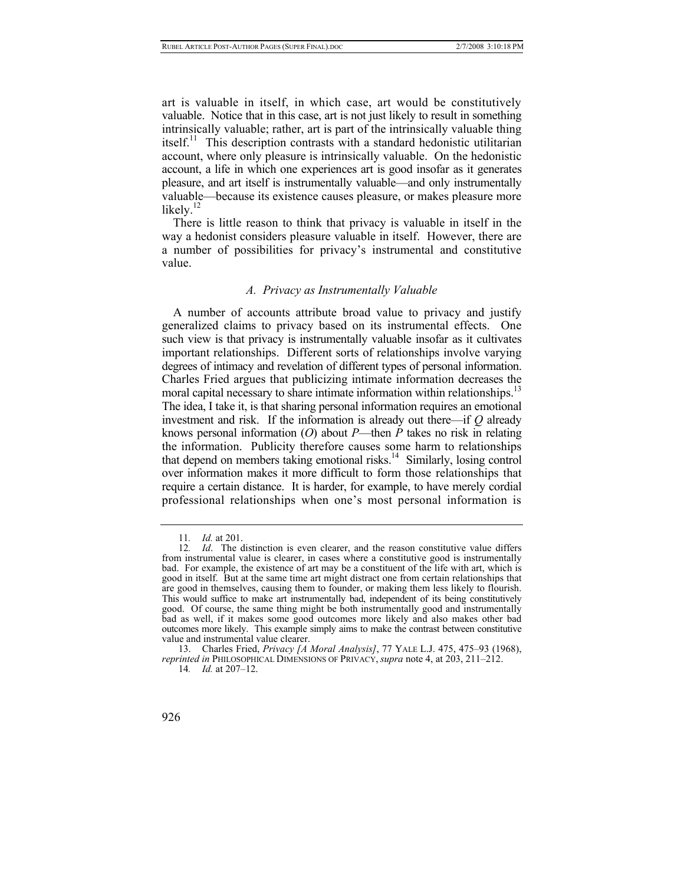art is valuable in itself, in which case, art would be constitutively valuable. Notice that in this case, art is not just likely to result in something intrinsically valuable; rather, art is part of the intrinsically valuable thing itself.<sup>11</sup> This description contrasts with a standard hedonistic utilitarian account, where only pleasure is intrinsically valuable. On the hedonistic account, a life in which one experiences art is good insofar as it generates pleasure, and art itself is instrumentally valuable—and only instrumentally valuable—because its existence causes pleasure, or makes pleasure more likely. $12$ 

There is little reason to think that privacy is valuable in itself in the way a hedonist considers pleasure valuable in itself. However, there are a number of possibilities for privacy's instrumental and constitutive value.

#### *A. Privacy as Instrumentally Valuable*

A number of accounts attribute broad value to privacy and justify generalized claims to privacy based on its instrumental effects. One such view is that privacy is instrumentally valuable insofar as it cultivates important relationships. Different sorts of relationships involve varying degrees of intimacy and revelation of different types of personal information. Charles Fried argues that publicizing intimate information decreases the moral capital necessary to share intimate information within relationships.<sup>13</sup> The idea, I take it, is that sharing personal information requires an emotional investment and risk. If the information is already out there—if *Q* already knows personal information (*O*) about *P*—then *P* takes no risk in relating the information. Publicity therefore causes some harm to relationships that depend on members taking emotional risks.<sup>14</sup> Similarly, losing control over information makes it more difficult to form those relationships that require a certain distance. It is harder, for example, to have merely cordial professional relationships when one's most personal information is

<span id="page-5-1"></span><span id="page-5-0"></span><sup>11</sup>*. Id.* at 201.

<sup>12</sup>*. Id*. The distinction is even clearer, and the reason constitutive value differs from instrumental value is clearer, in cases where a constitutive good is instrumentally bad. For example, the existence of art may be a constituent of the life with art, which is good in itself. But at the same time art might distract one from certain relationships that are good in themselves, causing them to founder, or making them less likely to flourish. This would suffice to make art instrumentally bad, independent of its being constitutively good. Of course, the same thing might be both instrumentally good and instrumentally bad as well, if it makes some good outcomes more likely and also makes other bad outcomes more likely. This example simply aims to make the contrast between constitutive value and instrumental value clearer.

<span id="page-5-2"></span> <sup>13.</sup> Charles Fried, *Privacy [A Moral Analysis]*, 77 YALE L.J. 475, 475–93 (1968), *reprinted in* PHILOSOPHICAL DIMENSIONS OF PRIVACY, *supra* note 4, at 203, 211–212.

<span id="page-5-3"></span><sup>14</sup>*. Id.* at 207–12.

<sup>926</sup>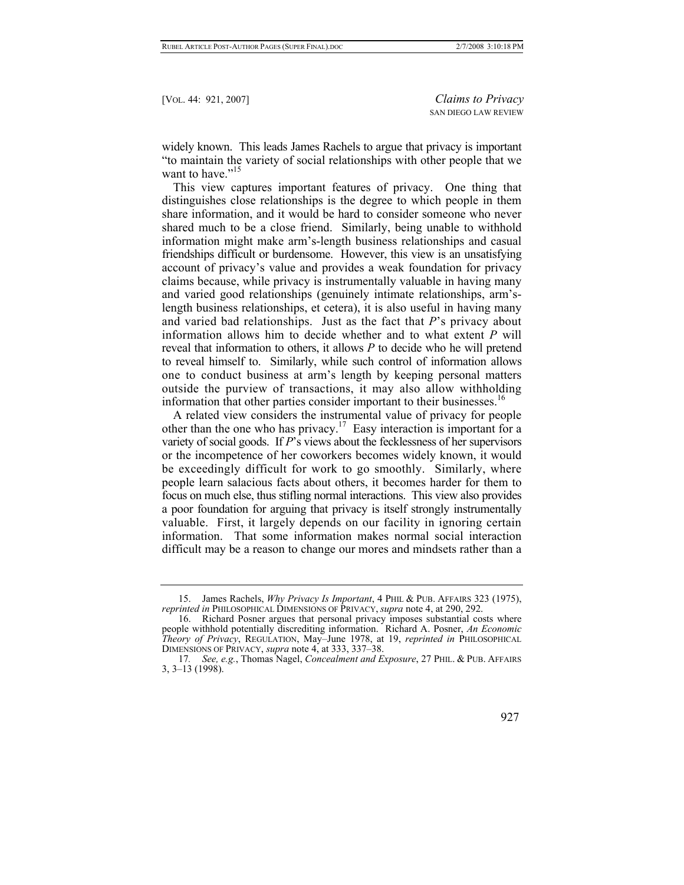widely known. This leads James Rachels to argue that privacy is important "to maintain the variety of social relationships with other people that we want to have."<sup>[15](#page-6-0)</sup>

This view captures important features of privacy. One thing that distinguishes close relationships is the degree to which people in them share information, and it would be hard to consider someone who never shared much to be a close friend. Similarly, being unable to withhold information might make arm's-length business relationships and casual friendships difficult or burdensome. However, this view is an unsatisfying account of privacy's value and provides a weak foundation for privacy claims because, while privacy is instrumentally valuable in having many and varied good relationships (genuinely intimate relationships, arm'slength business relationships, et cetera), it is also useful in having many and varied bad relationships. Just as the fact that *P*'s privacy about information allows him to decide whether and to what extent *P* will reveal that information to others, it allows *P* to decide who he will pretend to reveal himself to. Similarly, while such control of information allows one to conduct business at arm's length by keeping personal matters outside the purview of transactions, it may also allow withholding information that other parties consider important to their businesses.<sup>[16](#page-6-1)</sup>

A related view considers the instrumental value of privacy for people other than the one who has privacy.<sup>17</sup> Easy interaction is important for a variety of social goods. If *P*'s views about the fecklessness of her supervisors or the incompetence of her coworkers becomes widely known, it would be exceedingly difficult for work to go smoothly. Similarly, where people learn salacious facts about others, it becomes harder for them to focus on much else, thus stifling normal interactions. This view also provides a poor foundation for arguing that privacy is itself strongly instrumentally valuable. First, it largely depends on our facility in ignoring certain information. That some information makes normal social interaction difficult may be a reason to change our mores and mindsets rather than a

<span id="page-6-2"></span><sup>17</sup>*. See, e.g.*, Thomas Nagel, *Concealment and Exposure*, 27 PHIL. & PUB. AFFAIRS 3, 3–13 (1998).



<span id="page-6-0"></span> <sup>15.</sup> James Rachels, *Why Privacy Is Important*, 4 PHIL & PUB. AFFAIRS 323 (1975), *reprinted in* PHILOSOPHICAL DIMENSIONS OF PRIVACY, *supra* note 4, at 290, 292.

<span id="page-6-1"></span> <sup>16.</sup> Richard Posner argues that personal privacy imposes substantial costs where people withhold potentially discrediting information. Richard A. Posner, *An Economic Theory of Privacy*, REGULATION, May–June 1978, at 19, *reprinted in* PHILOSOPHICAL DIMENSIONS OF PRIVACY, *supra* note 4, at 333, 337–38.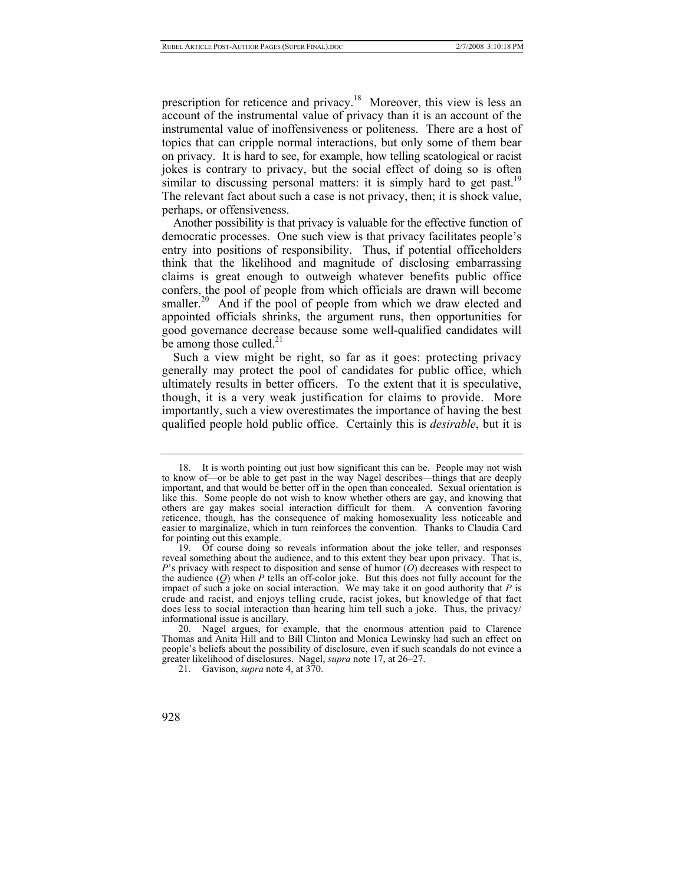prescription for reticence and privacy.[18](#page-7-0) Moreover, this view is less an account of the instrumental value of privacy than it is an account of the instrumental value of inoffensiveness or politeness. There are a host of topics that can cripple normal interactions, but only some of them bear on privacy. It is hard to see, for example, how telling scatological or racist jokes is contrary to privacy, but the social effect of doing so is often similar to discussing personal matters: it is simply hard to get past.<sup>19</sup> The relevant fact about such a case is not privacy, then; it is shock value, perhaps, or offensiveness.

Another possibility is that privacy is valuable for the effective function of democratic processes. One such view is that privacy facilitates people's entry into positions of responsibility. Thus, if potential officeholders think that the likelihood and magnitude of disclosing embarrassing claims is great enough to outweigh whatever benefits public office confers, the pool of people from which officials are drawn will become smaller.<sup>20</sup> And if the pool of people from which we draw elected and appointed officials shrinks, the argument runs, then opportunities for good governance decrease because some well-qualified candidates will be among those culled. $^{21}$ 

Such a view might be right, so far as it goes: protecting privacy generally may protect the pool of candidates for public office, which ultimately results in better officers. To the extent that it is speculative, though, it is a very weak justification for claims to provide. More importantly, such a view overestimates the importance of having the best qualified people hold public office. Certainly this is *desirable*, but it is

<span id="page-7-0"></span> <sup>18.</sup> It is worth pointing out just how significant this can be. People may not wish to know of—or be able to get past in the way Nagel describes—things that are deeply important, and that would be better off in the open than concealed. Sexual orientation is like this. Some people do not wish to know whether others are gay, and knowing that others are gay makes social interaction difficult for them. A convention favoring reticence, though, has the consequence of making homosexuality less noticeable and easier to marginalize, which in turn reinforces the convention. Thanks to Claudia Card for pointing out this example.

<span id="page-7-1"></span> <sup>19.</sup> Of course doing so reveals information about the joke teller, and responses reveal something about the audience, and to this extent they bear upon privacy. That is, *P*'s privacy with respect to disposition and sense of humor (*O*) decreases with respect to the audience (*Q*) when *P* tells an off-color joke. But this does not fully account for the impact of such a joke on social interaction. We may take it on good authority that *P* is crude and racist, and enjoys telling crude, racist jokes, but knowledge of that fact does less to social interaction than hearing him tell such a joke. Thus, the privacy/ informational issue is ancillary.

<span id="page-7-2"></span> <sup>20.</sup> Nagel argues, for example, that the enormous attention paid to Clarence Thomas and Anita Hill and to Bill Clinton and Monica Lewinsky had such an effect on people's beliefs about the possibility of disclosure, even if such scandals do not evince a greater likelihood of disclosures. Nagel, *supra* note 17, at 26–27.

<span id="page-7-3"></span> <sup>21.</sup> Gavison, *supra* note 4, at 370.

<sup>928</sup>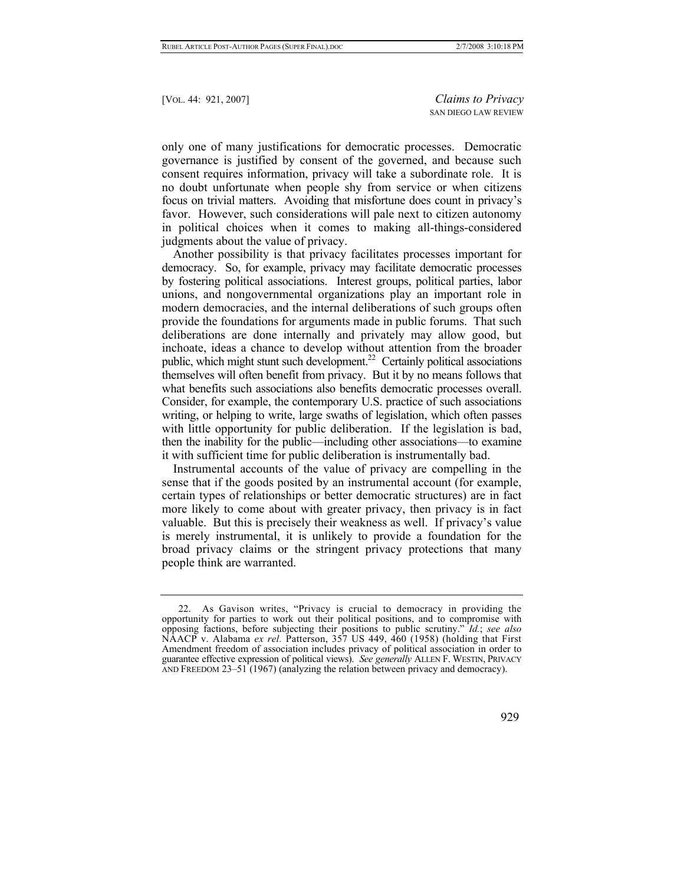only one of many justifications for democratic processes. Democratic governance is justified by consent of the governed, and because such consent requires information, privacy will take a subordinate role. It is no doubt unfortunate when people shy from service or when citizens focus on trivial matters. Avoiding that misfortune does count in privacy's favor. However, such considerations will pale next to citizen autonomy in political choices when it comes to making all-things-considered judgments about the value of privacy.

Another possibility is that privacy facilitates processes important for democracy. So, for example, privacy may facilitate democratic processes by fostering political associations. Interest groups, political parties, labor unions, and nongovernmental organizations play an important role in modern democracies, and the internal deliberations of such groups often provide the foundations for arguments made in public forums. That such deliberations are done internally and privately may allow good, but inchoate, ideas a chance to develop without attention from the broader public, which might stunt such development.<sup>22</sup> Certainly political associations themselves will often benefit from privacy. But it by no means follows that what benefits such associations also benefits democratic processes overall. Consider, for example, the contemporary U.S. practice of such associations writing, or helping to write, large swaths of legislation, which often passes with little opportunity for public deliberation. If the legislation is bad, then the inability for the public—including other associations—to examine it with sufficient time for public deliberation is instrumentally bad.

Instrumental accounts of the value of privacy are compelling in the sense that if the goods posited by an instrumental account (for example, certain types of relationships or better democratic structures) are in fact more likely to come about with greater privacy, then privacy is in fact valuable. But this is precisely their weakness as well. If privacy's value is merely instrumental, it is unlikely to provide a foundation for the broad privacy claims or the stringent privacy protections that many people think are warranted.

<span id="page-8-0"></span> <sup>22.</sup> As Gavison writes, "Privacy is crucial to democracy in providing the opportunity for parties to work out their political positions, and to compromise with opposing factions, before subjecting their positions to public scrutiny." *Id.*; *see also* NAACP v. Alabama *ex rel.* Patterson, 357 US 449, 460 (1958) (holding that First Amendment freedom of association includes privacy of political association in order to guarantee effective expression of political views). *See generally* ALLEN F. WESTIN, PRIVACY AND FREEDOM  $23-51(1967)$  (analyzing the relation between privacy and democracy).

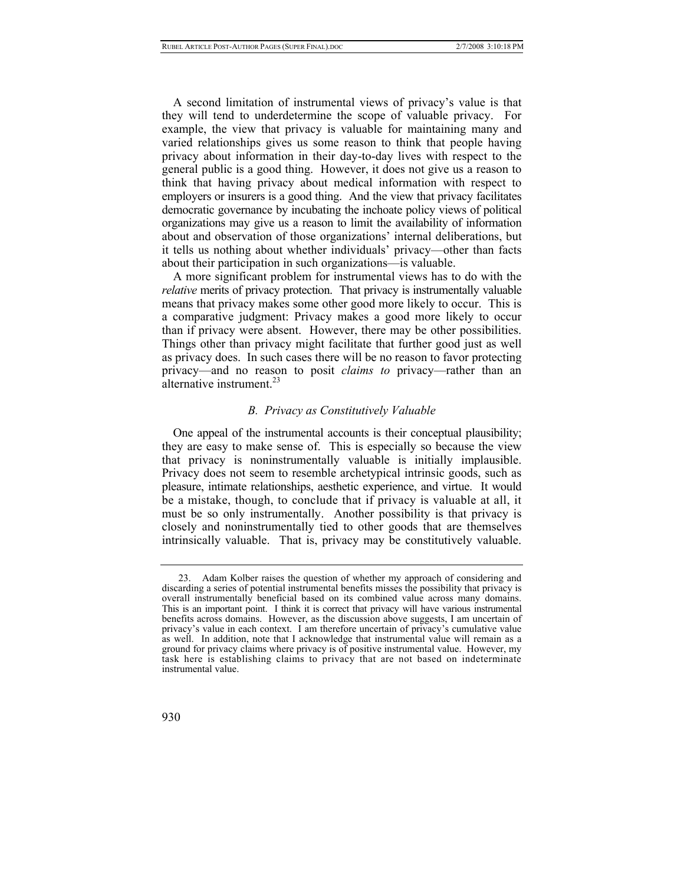A second limitation of instrumental views of privacy's value is that they will tend to underdetermine the scope of valuable privacy. For example, the view that privacy is valuable for maintaining many and varied relationships gives us some reason to think that people having privacy about information in their day-to-day lives with respect to the general public is a good thing. However, it does not give us a reason to think that having privacy about medical information with respect to employers or insurers is a good thing. And the view that privacy facilitates democratic governance by incubating the inchoate policy views of political organizations may give us a reason to limit the availability of information about and observation of those organizations' internal deliberations, but it tells us nothing about whether individuals' privacy—other than facts about their participation in such organizations—is valuable.

A more significant problem for instrumental views has to do with the *relative* merits of privacy protection. That privacy is instrumentally valuable means that privacy makes some other good more likely to occur. This is a comparative judgment: Privacy makes a good more likely to occur than if privacy were absent. However, there may be other possibilities. Things other than privacy might facilitate that further good just as well as privacy does. In such cases there will be no reason to favor protecting privacy—and no reason to posit *claims to* privacy—rather than an alternative instrument. $^{23}$  $^{23}$  $^{23}$ 

# *B. Privacy as Constitutively Valuable*

One appeal of the instrumental accounts is their conceptual plausibility; they are easy to make sense of. This is especially so because the view that privacy is noninstrumentally valuable is initially implausible. Privacy does not seem to resemble archetypical intrinsic goods, such as pleasure, intimate relationships, aesthetic experience, and virtue. It would be a mistake, though, to conclude that if privacy is valuable at all, it must be so only instrumentally. Another possibility is that privacy is closely and noninstrumentally tied to other goods that are themselves intrinsically valuable. That is, privacy may be constitutively valuable.

<span id="page-9-0"></span> <sup>23.</sup> Adam Kolber raises the question of whether my approach of considering and discarding a series of potential instrumental benefits misses the possibility that privacy is overall instrumentally beneficial based on its combined value across many domains. This is an important point. I think it is correct that privacy will have various instrumental benefits across domains. However, as the discussion above suggests, I am uncertain of privacy's value in each context. I am therefore uncertain of privacy's cumulative value as well. In addition, note that I acknowledge that instrumental value will remain as a ground for privacy claims where privacy is of positive instrumental value. However, my task here is establishing claims to privacy that are not based on indeterminate instrumental value.

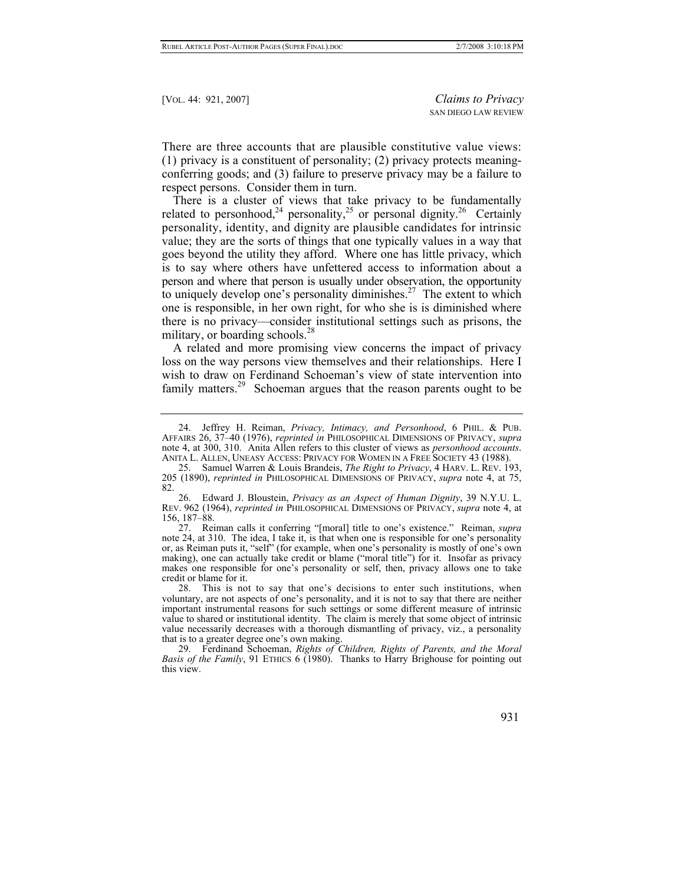There are three accounts that are plausible constitutive value views: (1) privacy is a constituent of personality; (2) privacy protects meaningconferring goods; and (3) failure to preserve privacy may be a failure to respect persons. Consider them in turn.

There is a cluster of views that take privacy to be fundamentally related to personhood,<sup>24</sup> personality,<sup>25</sup> or personal dignity.<sup>26</sup> Certainly personality, identity, and dignity are plausible candidates for intrinsic value; they are the sorts of things that one typically values in a way that goes beyond the utility they afford. Where one has little privacy, which is to say where others have unfettered access to information about a person and where that person is usually under observation, the opportunity to uniquely develop one's personality diminishes.<sup>27</sup> The extent to which one is responsible, in her own right, for who she is is diminished where there is no privacy—consider institutional settings such as prisons, the military, or boarding schools. $^{28}$  $^{28}$  $^{28}$ 

A related and more promising view concerns the impact of privacy loss on the way persons view themselves and their relationships. Here I wish to draw on Ferdinand Schoeman's view of state intervention into family matters.<sup>29</sup> Schoeman argues that the reason parents ought to be

<span id="page-10-3"></span> 27. Reiman calls it conferring "[moral] title to one's existence." Reiman, *supra* note 24, at 310. The idea, I take it, is that when one is responsible for one's personality or, as Reiman puts it, "self" (for example, when one's personality is mostly of one's own making), one can actually take credit or blame ("moral title") for it. Insofar as privacy makes one responsible for one's personality or self, then, privacy allows one to take credit or blame for it.

<span id="page-10-4"></span> 28. This is not to say that one's decisions to enter such institutions, when voluntary, are not aspects of one's personality, and it is not to say that there are neither important instrumental reasons for such settings or some different measure of intrinsic value to shared or institutional identity. The claim is merely that some object of intrinsic value necessarily decreases with a thorough dismantling of privacy, viz., a personality that is to a greater degree one's own making.

<span id="page-10-5"></span> <sup>29.</sup> Ferdinand Schoeman, *Rights of Children, Rights of Parents, and the Moral Basis of the Family*, 91 ETHICS 6 (1980). Thanks to Harry Brighouse for pointing out this view.



<span id="page-10-0"></span> <sup>24.</sup> Jeffrey H. Reiman, *Privacy, Intimacy, and Personhood*, 6 PHIL. & PUB. AFFAIRS 26, 37–40 (1976), *reprinted in* PHILOSOPHICAL DIMENSIONS OF PRIVACY, *supra* note 4, at 300, 310. Anita Allen refers to this cluster of views as *personhood accounts*. ANITA L. ALLEN, UNEASY ACCESS: PRIVACY FOR WOMEN IN A FREE SOCIETY 43 (1988).

<span id="page-10-1"></span> <sup>25.</sup> Samuel Warren & Louis Brandeis, *The Right to Privacy*, 4 HARV. L. REV. 193, 205 (1890), *reprinted in* PHILOSOPHICAL DIMENSIONS OF PRIVACY, *supra* note 4, at 75, 82.

<span id="page-10-2"></span> <sup>26.</sup> Edward J. Bloustein, *Privacy as an Aspect of Human Dignity*, 39 N.Y.U. L. REV. 962 (1964), *reprinted in* PHILOSOPHICAL DIMENSIONS OF PRIVACY, *supra* note 4, at 156, 187–88.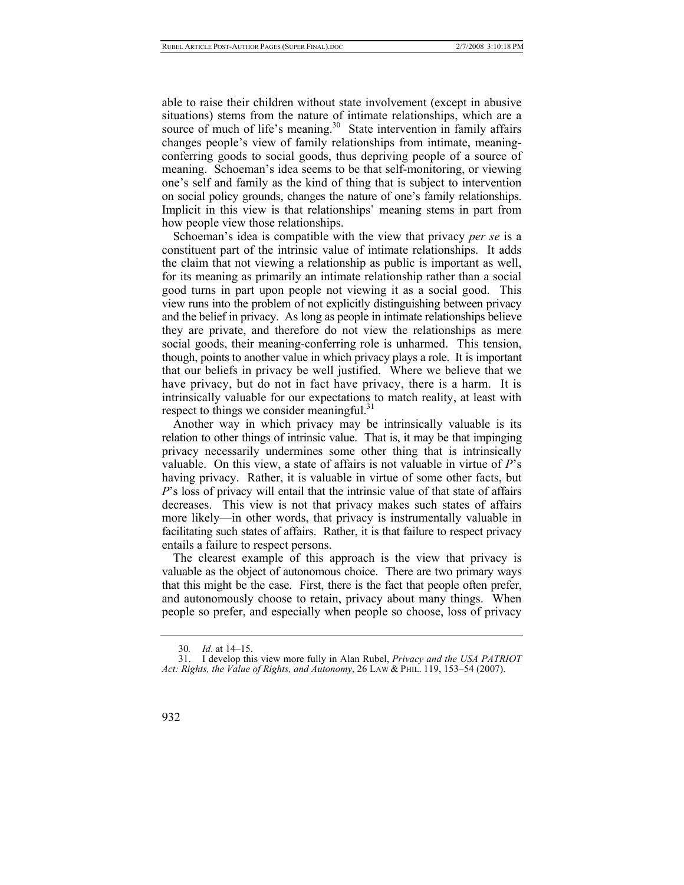able to raise their children without state involvement (except in abusive situations) stems from the nature of intimate relationships, which are a source of much of life's meaning.<sup>30</sup> State intervention in family affairs changes people's view of family relationships from intimate, meaningconferring goods to social goods, thus depriving people of a source of meaning. Schoeman's idea seems to be that self-monitoring, or viewing one's self and family as the kind of thing that is subject to intervention on social policy grounds, changes the nature of one's family relationships. Implicit in this view is that relationships' meaning stems in part from how people view those relationships.

Schoeman's idea is compatible with the view that privacy *per se* is a constituent part of the intrinsic value of intimate relationships. It adds the claim that not viewing a relationship as public is important as well, for its meaning as primarily an intimate relationship rather than a social good turns in part upon people not viewing it as a social good. This view runs into the problem of not explicitly distinguishing between privacy and the belief in privacy. As long as people in intimate relationships believe they are private, and therefore do not view the relationships as mere social goods, their meaning-conferring role is unharmed. This tension, though, points to another value in which privacy plays a role. It is important that our beliefs in privacy be well justified. Where we believe that we have privacy, but do not in fact have privacy, there is a harm. It is intrinsically valuable for our expectations to match reality, at least with respect to things we consider meaningful.<sup>31</sup>

Another way in which privacy may be intrinsically valuable is its relation to other things of intrinsic value. That is, it may be that impinging privacy necessarily undermines some other thing that is intrinsically valuable. On this view, a state of affairs is not valuable in virtue of *P*'s having privacy. Rather, it is valuable in virtue of some other facts, but *P*'s loss of privacy will entail that the intrinsic value of that state of affairs decreases. This view is not that privacy makes such states of affairs more likely—in other words, that privacy is instrumentally valuable in facilitating such states of affairs. Rather, it is that failure to respect privacy entails a failure to respect persons.

The clearest example of this approach is the view that privacy is valuable as the object of autonomous choice. There are two primary ways that this might be the case. First, there is the fact that people often prefer, and autonomously choose to retain, privacy about many things. When people so prefer, and especially when people so choose, loss of privacy

 <sup>31.</sup> I develop this view more fully in Alan Rubel, *Privacy and the USA PATRIOT Act: Rights, the Value of Rights, and Autonomy*, 26 LAW & PHIL. 119, 153–54 (2007).



<span id="page-11-1"></span><span id="page-11-0"></span><sup>30</sup>*. Id*. at 14–15.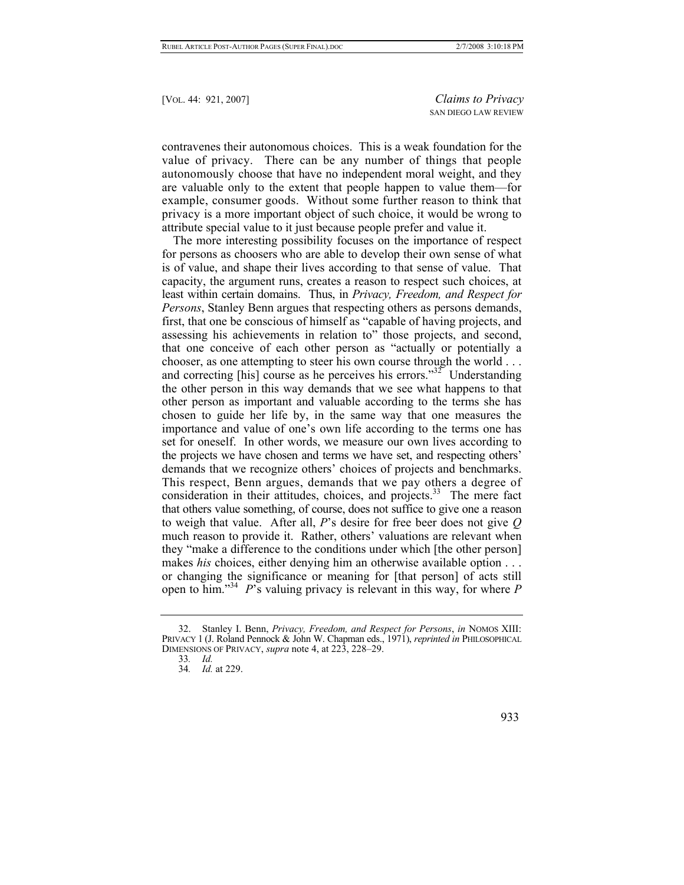contravenes their autonomous choices. This is a weak foundation for the value of privacy. There can be any number of things that people autonomously choose that have no independent moral weight, and they are valuable only to the extent that people happen to value them—for example, consumer goods. Without some further reason to think that privacy is a more important object of such choice, it would be wrong to attribute special value to it just because people prefer and value it.

The more interesting possibility focuses on the importance of respect for persons as choosers who are able to develop their own sense of what is of value, and shape their lives according to that sense of value. That capacity, the argument runs, creates a reason to respect such choices, at least within certain domains. Thus, in *Privacy, Freedom, and Respect for Persons*, Stanley Benn argues that respecting others as persons demands, first, that one be conscious of himself as "capable of having projects, and assessing his achievements in relation to" those projects, and second, that one conceive of each other person as "actually or potentially a chooser, as one attempting to steer his own course through the world . . . and correcting [his] course as he perceives his errors." $32^{\circ}$  Understanding the other person in this way demands that we see what happens to that other person as important and valuable according to the terms she has chosen to guide her life by, in the same way that one measures the importance and value of one's own life according to the terms one has set for oneself. In other words, we measure our own lives according to the projects we have chosen and terms we have set, and respecting others' demands that we recognize others' choices of projects and benchmarks. This respect, Benn argues, demands that we pay others a degree of consideration in their attitudes, choices, and projects.<sup>33</sup> The mere fact that others value something, of course, does not suffice to give one a reason to weigh that value. After all, *P*'s desire for free beer does not give *Q* much reason to provide it. Rather, others' valuations are relevant when they "make a difference to the conditions under which [the other person] makes *his* choices, either denying him an otherwise available option . . . or changing the significance or meaning for [that person] of acts still open to him.["34](#page-12-2) *P*'s valuing privacy is relevant in this way, for where *P*

<span id="page-12-0"></span> <sup>32.</sup> Stanley I. Benn, *Privacy, Freedom, and Respect for Persons*, *in* NOMOS XIII: PRIVACY 1 (J. Roland Pennock & John W. Chapman eds., 1971), *reprinted in* PHILOSOPHICAL DIMENSIONS OF PRIVACY, *supra* note 4, at 223, 228–29.

<span id="page-12-1"></span><sup>33</sup>*. Id.*

<span id="page-12-2"></span><sup>34</sup>*. Id.* at 229.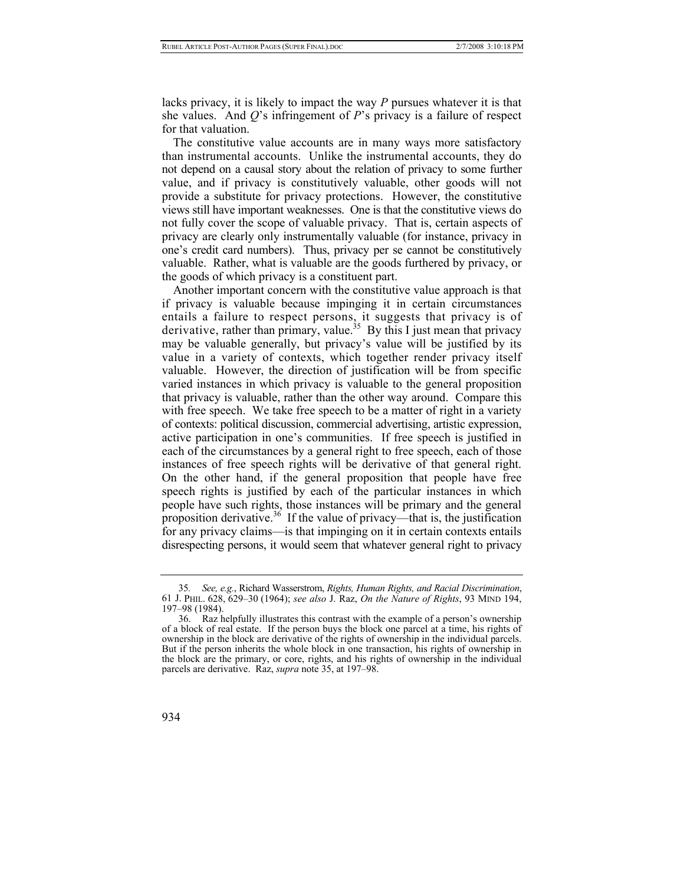lacks privacy, it is likely to impact the way *P* pursues whatever it is that she values. And *Q*'s infringement of *P*'s privacy is a failure of respect for that valuation.

The constitutive value accounts are in many ways more satisfactory than instrumental accounts. Unlike the instrumental accounts, they do not depend on a causal story about the relation of privacy to some further value, and if privacy is constitutively valuable, other goods will not provide a substitute for privacy protections. However, the constitutive views still have important weaknesses. One is that the constitutive views do not fully cover the scope of valuable privacy. That is, certain aspects of privacy are clearly only instrumentally valuable (for instance, privacy in one's credit card numbers). Thus, privacy per se cannot be constitutively valuable. Rather, what is valuable are the goods furthered by privacy, or the goods of which privacy is a constituent part.

Another important concern with the constitutive value approach is that if privacy is valuable because impinging it in certain circumstances entails a failure to respect persons, it suggests that privacy is of derivative, rather than primary, value.<sup>35</sup> By this I just mean that privacy may be valuable generally, but privacy's value will be justified by its value in a variety of contexts, which together render privacy itself valuable. However, the direction of justification will be from specific varied instances in which privacy is valuable to the general proposition that privacy is valuable, rather than the other way around. Compare this with free speech. We take free speech to be a matter of right in a variety of contexts: political discussion, commercial advertising, artistic expression, active participation in one's communities. If free speech is justified in each of the circumstances by a general right to free speech, each of those instances of free speech rights will be derivative of that general right. On the other hand, if the general proposition that people have free speech rights is justified by each of the particular instances in which people have such rights, those instances will be primary and the general proposition derivative.<sup>36</sup> If the value of privacy—that is, the justification for any privacy claims—is that impinging on it in certain contexts entails disrespecting persons, it would seem that whatever general right to privacy

<span id="page-13-1"></span> <sup>36.</sup> Raz helpfully illustrates this contrast with the example of a person's ownership of a block of real estate. If the person buys the block one parcel at a time, his rights of ownership in the block are derivative of the rights of ownership in the individual parcels. But if the person inherits the whole block in one transaction, his rights of ownership in the block are the primary, or core, rights, and his rights of ownership in the individual parcels are derivative. Raz, *supra* note 35, at 197–98.



<span id="page-13-0"></span><sup>35</sup>*. See, e.g.*, Richard Wasserstrom, *Rights, Human Rights, and Racial Discrimination*, 61 J. PHIL. 628, 629–30 (1964); *see also* J. Raz, *On the Nature of Rights*, 93 MIND 194, 197–98 (1984).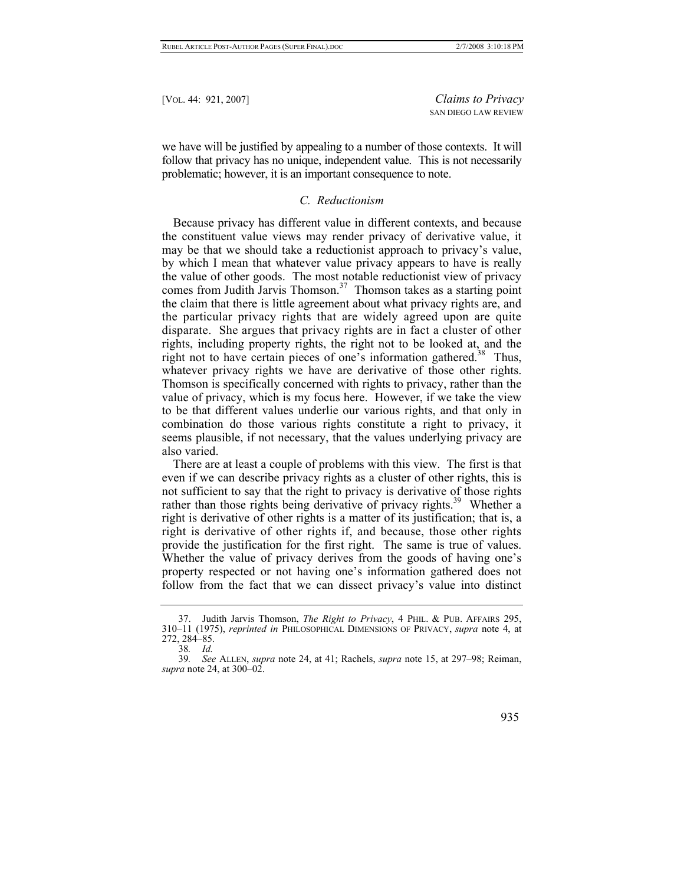we have will be justified by appealing to a number of those contexts. It will follow that privacy has no unique, independent value. This is not necessarily problematic; however, it is an important consequence to note.

#### *C. Reductionism*

Because privacy has different value in different contexts, and because the constituent value views may render privacy of derivative value, it may be that we should take a reductionist approach to privacy's value, by which I mean that whatever value privacy appears to have is really the value of other goods. The most notable reductionist view of privacy comes from Judith Jarvis Thomson.<sup>37</sup> Thomson takes as a starting point the claim that there is little agreement about what privacy rights are, and the particular privacy rights that are widely agreed upon are quite disparate. She argues that privacy rights are in fact a cluster of other rights, including property rights, the right not to be looked at, and the right not to have certain pieces of one's information gathered.<sup>38</sup> Thus, whatever privacy rights we have are derivative of those other rights. Thomson is specifically concerned with rights to privacy, rather than the value of privacy, which is my focus here. However, if we take the view to be that different values underlie our various rights, and that only in combination do those various rights constitute a right to privacy, it seems plausible, if not necessary, that the values underlying privacy are also varied.

There are at least a couple of problems with this view. The first is that even if we can describe privacy rights as a cluster of other rights, this is not sufficient to say that the right to privacy is derivative of those rights rather than those rights being derivative of privacy rights.<sup>39</sup> Whether a right is derivative of other rights is a matter of its justification; that is, a right is derivative of other rights if, and because, those other rights provide the justification for the first right. The same is true of values. Whether the value of privacy derives from the goods of having one's property respected or not having one's information gathered does not follow from the fact that we can dissect privacy's value into distinct

<sup>39</sup>*. See* ALLEN, *supra* note 24, at 41; Rachels, *supra* note 15, at 297–98; Reiman, *supra* note 24, at 300–02.



<span id="page-14-0"></span> <sup>37.</sup> Judith Jarvis Thomson, *The Right to Privacy*, 4 PHIL. & PUB. AFFAIRS 295, 310–11 (1975), *reprinted in* PHILOSOPHICAL DIMENSIONS OF PRIVACY, *supra* note 4, at 272, 284–85.

<span id="page-14-2"></span><span id="page-14-1"></span><sup>38</sup>*. Id.*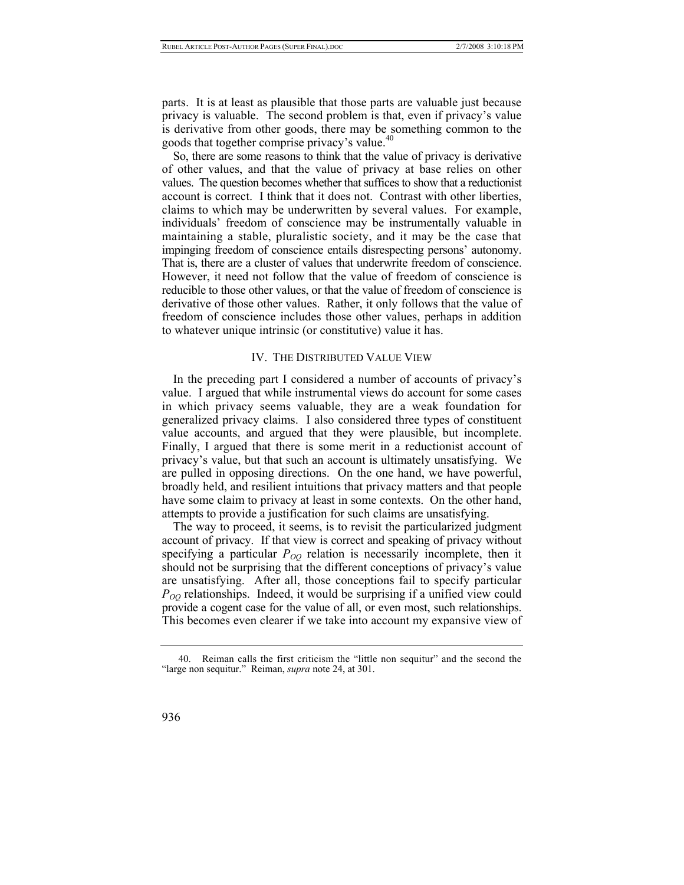parts. It is at least as plausible that those parts are valuable just because privacy is valuable. The second problem is that, even if privacy's value is derivative from other goods, there may be something common to the goods that together comprise privacy's value.<sup>[40](#page-15-0)</sup>

So, there are some reasons to think that the value of privacy is derivative of other values, and that the value of privacy at base relies on other values. The question becomes whether that suffices to show that a reductionist account is correct. I think that it does not. Contrast with other liberties, claims to which may be underwritten by several values. For example, individuals' freedom of conscience may be instrumentally valuable in maintaining a stable, pluralistic society, and it may be the case that impinging freedom of conscience entails disrespecting persons' autonomy. That is, there are a cluster of values that underwrite freedom of conscience. However, it need not follow that the value of freedom of conscience is reducible to those other values, or that the value of freedom of conscience is derivative of those other values. Rather, it only follows that the value of freedom of conscience includes those other values, perhaps in addition to whatever unique intrinsic (or constitutive) value it has.

#### IV. THE DISTRIBUTED VALUE VIEW

In the preceding part I considered a number of accounts of privacy's value. I argued that while instrumental views do account for some cases in which privacy seems valuable, they are a weak foundation for generalized privacy claims. I also considered three types of constituent value accounts, and argued that they were plausible, but incomplete. Finally, I argued that there is some merit in a reductionist account of privacy's value, but that such an account is ultimately unsatisfying. We are pulled in opposing directions. On the one hand, we have powerful, broadly held, and resilient intuitions that privacy matters and that people have some claim to privacy at least in some contexts. On the other hand, attempts to provide a justification for such claims are unsatisfying.

The way to proceed, it seems, is to revisit the particularized judgment account of privacy. If that view is correct and speaking of privacy without specifying a particular  $P_{OO}$  relation is necessarily incomplete, then it should not be surprising that the different conceptions of privacy's value are unsatisfying. After all, those conceptions fail to specify particular  $P_{OO}$  relationships. Indeed, it would be surprising if a unified view could provide a cogent case for the value of all, or even most, such relationships. This becomes even clearer if we take into account my expansive view of

<span id="page-15-0"></span> <sup>40.</sup> Reiman calls the first criticism the "little non sequitur" and the second the "large non sequitur." Reiman, *supra* note 24, at 301.

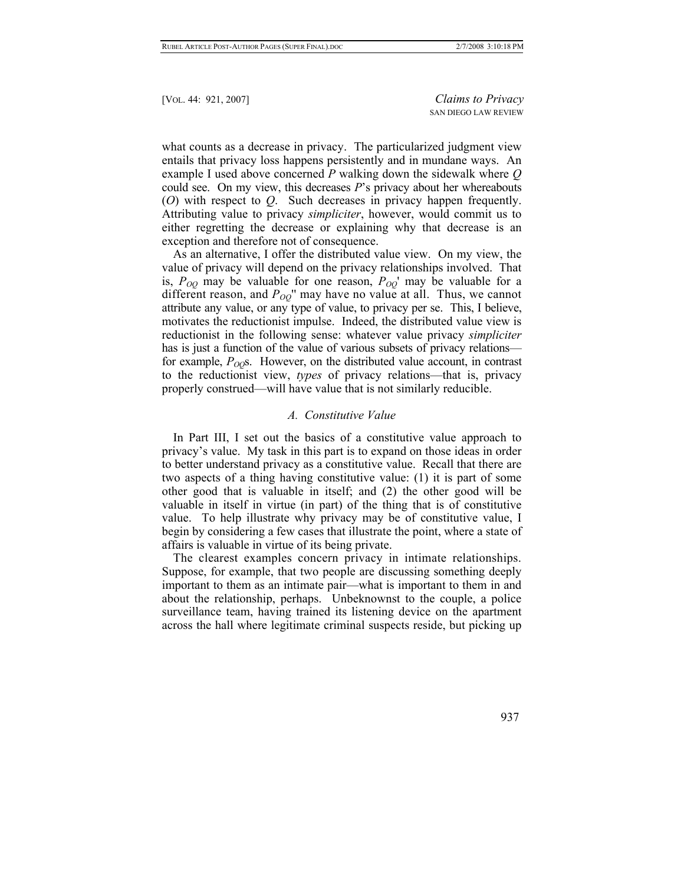what counts as a decrease in privacy. The particularized judgment view entails that privacy loss happens persistently and in mundane ways. An example I used above concerned *P* walking down the sidewalk where *Q* could see. On my view, this decreases *P*'s privacy about her whereabouts (*O*) with respect to *Q*. Such decreases in privacy happen frequently. Attributing value to privacy *simpliciter*, however, would commit us to either regretting the decrease or explaining why that decrease is an exception and therefore not of consequence.

As an alternative, I offer the distributed value view. On my view, the value of privacy will depend on the privacy relationships involved. That is,  $P_{OQ}$  may be valuable for one reason,  $P_{OQ}$ ' may be valuable for a different reason, and  $P_{OO}$ " may have no value at all. Thus, we cannot attribute any value, or any type of value, to privacy per se. This, I believe, motivates the reductionist impulse. Indeed, the distributed value view is reductionist in the following sense: whatever value privacy *simpliciter* has is just a function of the value of various subsets of privacy relations for example,  $P_{OO}$ s. However, on the distributed value account, in contrast to the reductionist view, *types* of privacy relations—that is, privacy properly construed—will have value that is not similarly reducible.

#### *A. Constitutive Value*

In Part III, I set out the basics of a constitutive value approach to privacy's value. My task in this part is to expand on those ideas in order to better understand privacy as a constitutive value. Recall that there are two aspects of a thing having constitutive value: (1) it is part of some other good that is valuable in itself; and (2) the other good will be valuable in itself in virtue (in part) of the thing that is of constitutive value. To help illustrate why privacy may be of constitutive value, I begin by considering a few cases that illustrate the point, where a state of affairs is valuable in virtue of its being private.

The clearest examples concern privacy in intimate relationships. Suppose, for example, that two people are discussing something deeply important to them as an intimate pair—what is important to them in and about the relationship, perhaps. Unbeknownst to the couple, a police surveillance team, having trained its listening device on the apartment across the hall where legitimate criminal suspects reside, but picking up

937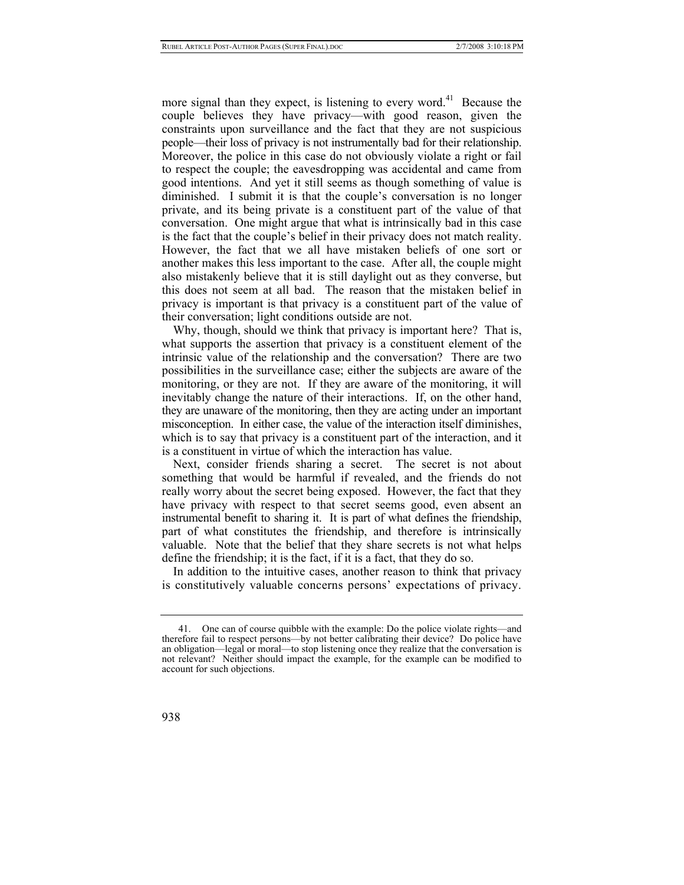more signal than they expect, is listening to every word.<sup>41</sup> Because the couple believes they have privacy—with good reason, given the constraints upon surveillance and the fact that they are not suspicious people—their loss of privacy is not instrumentally bad for their relationship. Moreover, the police in this case do not obviously violate a right or fail to respect the couple; the eavesdropping was accidental and came from good intentions. And yet it still seems as though something of value is diminished. I submit it is that the couple's conversation is no longer private, and its being private is a constituent part of the value of that conversation. One might argue that what is intrinsically bad in this case is the fact that the couple's belief in their privacy does not match reality. However, the fact that we all have mistaken beliefs of one sort or another makes this less important to the case. After all, the couple might also mistakenly believe that it is still daylight out as they converse, but this does not seem at all bad. The reason that the mistaken belief in privacy is important is that privacy is a constituent part of the value of their conversation; light conditions outside are not.

Why, though, should we think that privacy is important here? That is, what supports the assertion that privacy is a constituent element of the intrinsic value of the relationship and the conversation? There are two possibilities in the surveillance case; either the subjects are aware of the monitoring, or they are not. If they are aware of the monitoring, it will inevitably change the nature of their interactions. If, on the other hand, they are unaware of the monitoring, then they are acting under an important misconception. In either case, the value of the interaction itself diminishes, which is to say that privacy is a constituent part of the interaction, and it is a constituent in virtue of which the interaction has value.

Next, consider friends sharing a secret. The secret is not about something that would be harmful if revealed, and the friends do not really worry about the secret being exposed. However, the fact that they have privacy with respect to that secret seems good, even absent an instrumental benefit to sharing it. It is part of what defines the friendship, part of what constitutes the friendship, and therefore is intrinsically valuable. Note that the belief that they share secrets is not what helps define the friendship; it is the fact, if it is a fact, that they do so.

In addition to the intuitive cases, another reason to think that privacy is constitutively valuable concerns persons' expectations of privacy.

<span id="page-17-0"></span> <sup>41.</sup> One can of course quibble with the example: Do the police violate rights—and therefore fail to respect persons—by not better calibrating their device? Do police have an obligation—legal or moral—to stop listening once they realize that the conversation is not relevant? Neither should impact the example, for the example can be modified to account for such objections.

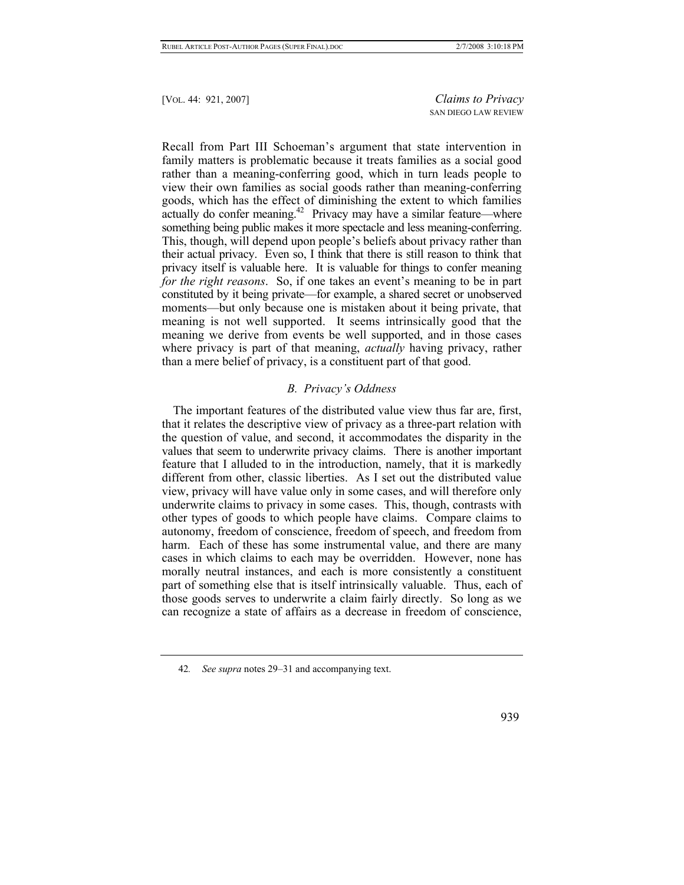Recall from Part III Schoeman's argument that state intervention in family matters is problematic because it treats families as a social good rather than a meaning-conferring good, which in turn leads people to view their own families as social goods rather than meaning-conferring goods, which has the effect of diminishing the extent to which families actually do confer meaning.<sup>42</sup> Privacy may have a similar feature—where something being public makes it more spectacle and less meaning-conferring. This, though, will depend upon people's beliefs about privacy rather than their actual privacy. Even so, I think that there is still reason to think that privacy itself is valuable here. It is valuable for things to confer meaning *for the right reasons*. So, if one takes an event's meaning to be in part constituted by it being private—for example, a shared secret or unobserved moments—but only because one is mistaken about it being private, that meaning is not well supported. It seems intrinsically good that the meaning we derive from events be well supported, and in those cases where privacy is part of that meaning, *actually* having privacy, rather than a mere belief of privacy, is a constituent part of that good.

# *B. Privacy's Oddness*

The important features of the distributed value view thus far are, first, that it relates the descriptive view of privacy as a three-part relation with the question of value, and second, it accommodates the disparity in the values that seem to underwrite privacy claims. There is another important feature that I alluded to in the introduction, namely, that it is markedly different from other, classic liberties. As I set out the distributed value view, privacy will have value only in some cases, and will therefore only underwrite claims to privacy in some cases. This, though, contrasts with other types of goods to which people have claims. Compare claims to autonomy, freedom of conscience, freedom of speech, and freedom from harm. Each of these has some instrumental value, and there are many cases in which claims to each may be overridden. However, none has morally neutral instances, and each is more consistently a constituent part of something else that is itself intrinsically valuable. Thus, each of those goods serves to underwrite a claim fairly directly. So long as we can recognize a state of affairs as a decrease in freedom of conscience,

939

<span id="page-18-0"></span><sup>42</sup>*. See supra* notes 29–31 and accompanying text.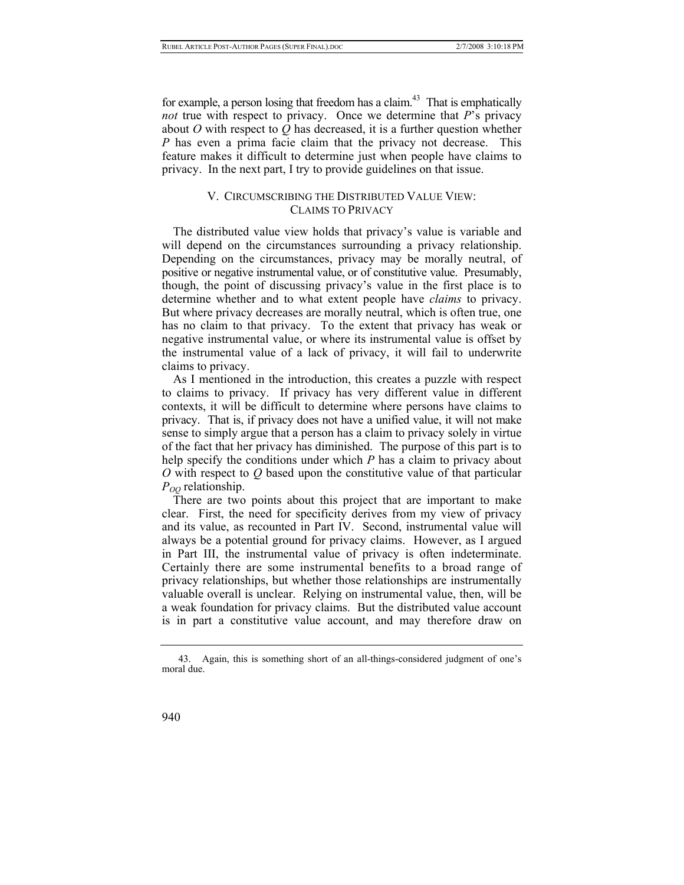for example, a person losing that freedom has a claim.<sup>43</sup> That is emphatically *not* true with respect to privacy. Once we determine that *P*'s privacy about *O* with respect to *Q* has decreased, it is a further question whether *P* has even a prima facie claim that the privacy not decrease. This feature makes it difficult to determine just when people have claims to privacy. In the next part, I try to provide guidelines on that issue.

# V. CIRCUMSCRIBING THE DISTRIBUTED VALUE VIEW: CLAIMS TO PRIVACY

The distributed value view holds that privacy's value is variable and will depend on the circumstances surrounding a privacy relationship. Depending on the circumstances, privacy may be morally neutral, of positive or negative instrumental value, or of constitutive value. Presumably, though, the point of discussing privacy's value in the first place is to determine whether and to what extent people have *claims* to privacy. But where privacy decreases are morally neutral, which is often true, one has no claim to that privacy. To the extent that privacy has weak or negative instrumental value, or where its instrumental value is offset by the instrumental value of a lack of privacy, it will fail to underwrite claims to privacy.

As I mentioned in the introduction, this creates a puzzle with respect to claims to privacy. If privacy has very different value in different contexts, it will be difficult to determine where persons have claims to privacy. That is, if privacy does not have a unified value, it will not make sense to simply argue that a person has a claim to privacy solely in virtue of the fact that her privacy has diminished. The purpose of this part is to help specify the conditions under which *P* has a claim to privacy about *O* with respect to *Q* based upon the constitutive value of that particular  $P_{OO}$  relationship.

There are two points about this project that are important to make clear. First, the need for specificity derives from my view of privacy and its value, as recounted in Part IV. Second, instrumental value will always be a potential ground for privacy claims. However, as I argued in Part III, the instrumental value of privacy is often indeterminate. Certainly there are some instrumental benefits to a broad range of privacy relationships, but whether those relationships are instrumentally valuable overall is unclear. Relying on instrumental value, then, will be a weak foundation for privacy claims. But the distributed value account is in part a constitutive value account, and may therefore draw on

<span id="page-19-0"></span> <sup>43.</sup> Again, this is something short of an all-things-considered judgment of one's moral due.

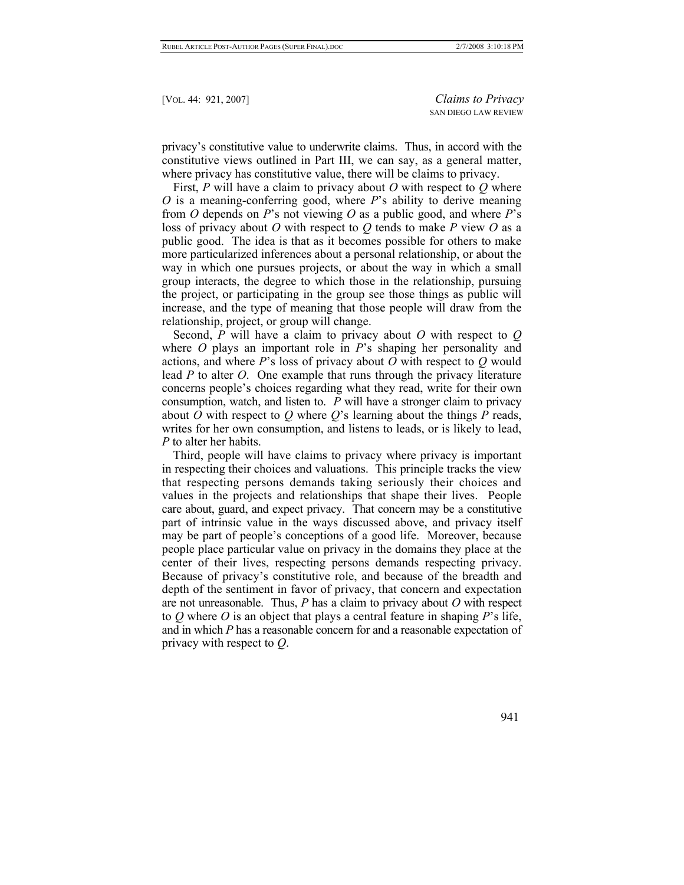privacy's constitutive value to underwrite claims. Thus, in accord with the constitutive views outlined in Part III, we can say, as a general matter, where privacy has constitutive value, there will be claims to privacy.

First, *P* will have a claim to privacy about *O* with respect to *Q* where *O* is a meaning-conferring good, where *P*'s ability to derive meaning from *O* depends on *P*'s not viewing *O* as a public good, and where *P*'s loss of privacy about *O* with respect to *Q* tends to make *P* view *O* as a public good. The idea is that as it becomes possible for others to make more particularized inferences about a personal relationship, or about the way in which one pursues projects, or about the way in which a small group interacts, the degree to which those in the relationship, pursuing the project, or participating in the group see those things as public will increase, and the type of meaning that those people will draw from the relationship, project, or group will change.

Second, *P* will have a claim to privacy about *O* with respect to *Q* where *O* plays an important role in *P*'s shaping her personality and actions, and where *P*'s loss of privacy about *O* with respect to *Q* would lead *P* to alter *O*. One example that runs through the privacy literature concerns people's choices regarding what they read, write for their own consumption, watch, and listen to. *P* will have a stronger claim to privacy about *O* with respect to *Q* where *Q*'s learning about the things *P* reads, writes for her own consumption, and listens to leads, or is likely to lead, *P* to alter her habits.

Third, people will have claims to privacy where privacy is important in respecting their choices and valuations. This principle tracks the view that respecting persons demands taking seriously their choices and values in the projects and relationships that shape their lives. People care about, guard, and expect privacy. That concern may be a constitutive part of intrinsic value in the ways discussed above, and privacy itself may be part of people's conceptions of a good life. Moreover, because people place particular value on privacy in the domains they place at the center of their lives, respecting persons demands respecting privacy. Because of privacy's constitutive role, and because of the breadth and depth of the sentiment in favor of privacy, that concern and expectation are not unreasonable. Thus, *P* has a claim to privacy about *O* with respect to *Q* where *O* is an object that plays a central feature in shaping *P*'s life, and in which *P* has a reasonable concern for and a reasonable expectation of privacy with respect to *Q*.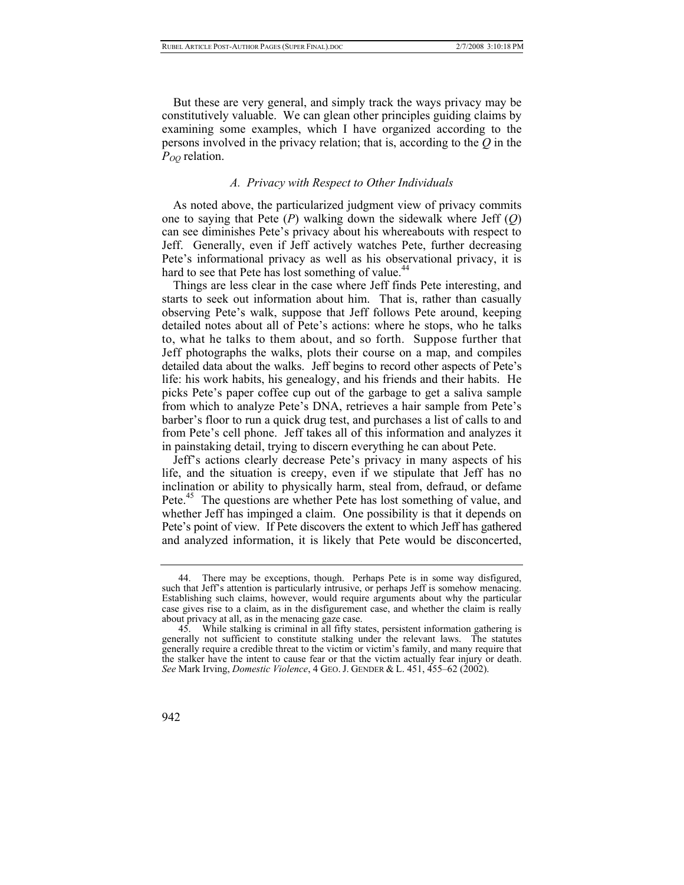But these are very general, and simply track the ways privacy may be constitutively valuable. We can glean other principles guiding claims by examining some examples, which I have organized according to the persons involved in the privacy relation; that is, according to the *Q* in the *POQ* relation.

# *A. Privacy with Respect to Other Individuals*

As noted above, the particularized judgment view of privacy commits one to saying that Pete (*P*) walking down the sidewalk where Jeff (*Q*) can see diminishes Pete's privacy about his whereabouts with respect to Jeff. Generally, even if Jeff actively watches Pete, further decreasing Pete's informational privacy as well as his observational privacy, it is hard to see that Pete has lost something of value.<sup>44</sup>

Things are less clear in the case where Jeff finds Pete interesting, and starts to seek out information about him. That is, rather than casually observing Pete's walk, suppose that Jeff follows Pete around, keeping detailed notes about all of Pete's actions: where he stops, who he talks to, what he talks to them about, and so forth. Suppose further that Jeff photographs the walks, plots their course on a map, and compiles detailed data about the walks. Jeff begins to record other aspects of Pete's life: his work habits, his genealogy, and his friends and their habits. He picks Pete's paper coffee cup out of the garbage to get a saliva sample from which to analyze Pete's DNA, retrieves a hair sample from Pete's barber's floor to run a quick drug test, and purchases a list of calls to and from Pete's cell phone. Jeff takes all of this information and analyzes it in painstaking detail, trying to discern everything he can about Pete.

Jeff's actions clearly decrease Pete's privacy in many aspects of his life, and the situation is creepy, even if we stipulate that Jeff has no inclination or ability to physically harm, steal from, defraud, or defame Pete.<sup>45</sup> The questions are whether Pete has lost something of value, and whether Jeff has impinged a claim. One possibility is that it depends on Pete's point of view. If Pete discovers the extent to which Jeff has gathered and analyzed information, it is likely that Pete would be disconcerted,

<span id="page-21-0"></span> <sup>44.</sup> There may be exceptions, though. Perhaps Pete is in some way disfigured, such that Jeff's attention is particularly intrusive, or perhaps Jeff is somehow menacing. Establishing such claims, however, would require arguments about why the particular case gives rise to a claim, as in the disfigurement case, and whether the claim is really about privacy at all, as in the menacing gaze case.

<span id="page-21-1"></span> <sup>45.</sup> While stalking is criminal in all fifty states, persistent information gathering is generally not sufficient to constitute stalking under the relevant laws. The statutes generally require a credible threat to the victim or victim's family, and many require that the stalker have the intent to cause fear or that the victim actually fear injury or death. *See* Mark Irving, *Domestic Violence*, 4 GEO. J. GENDER & L. 451, 455–62 (2002).

<sup>942</sup>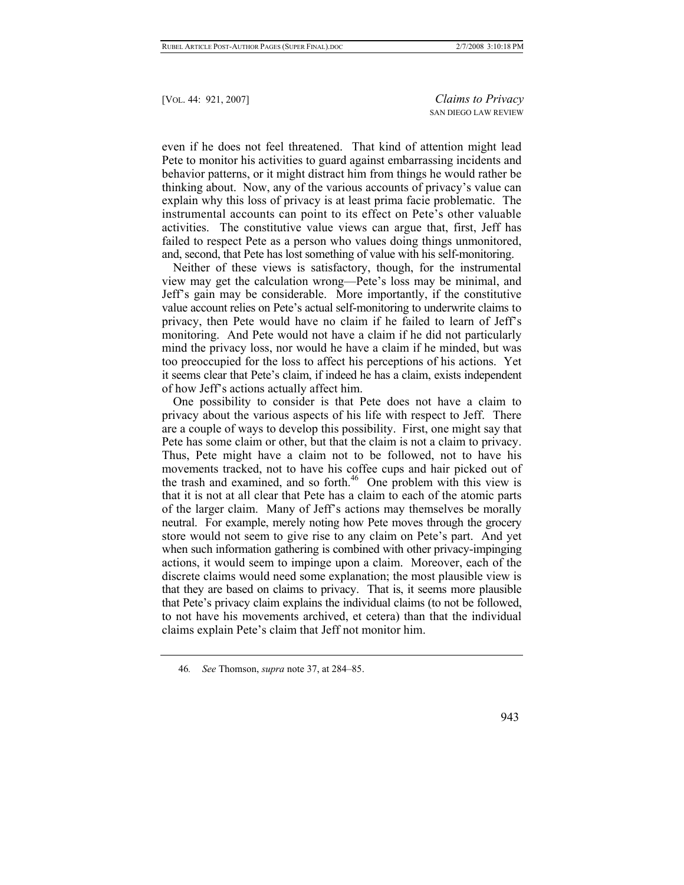even if he does not feel threatened. That kind of attention might lead Pete to monitor his activities to guard against embarrassing incidents and behavior patterns, or it might distract him from things he would rather be thinking about. Now, any of the various accounts of privacy's value can explain why this loss of privacy is at least prima facie problematic. The instrumental accounts can point to its effect on Pete's other valuable activities. The constitutive value views can argue that, first, Jeff has failed to respect Pete as a person who values doing things unmonitored, and, second, that Pete has lost something of value with his self-monitoring.

Neither of these views is satisfactory, though, for the instrumental view may get the calculation wrong—Pete's loss may be minimal, and Jeff's gain may be considerable. More importantly, if the constitutive value account relies on Pete's actual self-monitoring to underwrite claims to privacy, then Pete would have no claim if he failed to learn of Jeff's monitoring. And Pete would not have a claim if he did not particularly mind the privacy loss, nor would he have a claim if he minded, but was too preoccupied for the loss to affect his perceptions of his actions. Yet it seems clear that Pete's claim, if indeed he has a claim, exists independent of how Jeff's actions actually affect him.

One possibility to consider is that Pete does not have a claim to privacy about the various aspects of his life with respect to Jeff. There are a couple of ways to develop this possibility. First, one might say that Pete has some claim or other, but that the claim is not a claim to privacy. Thus, Pete might have a claim not to be followed, not to have his movements tracked, not to have his coffee cups and hair picked out of the trash and examined, and so forth. $46$  One problem with this view is that it is not at all clear that Pete has a claim to each of the atomic parts of the larger claim. Many of Jeff's actions may themselves be morally neutral. For example, merely noting how Pete moves through the grocery store would not seem to give rise to any claim on Pete's part. And yet when such information gathering is combined with other privacy-impinging actions, it would seem to impinge upon a claim. Moreover, each of the discrete claims would need some explanation; the most plausible view is that they are based on claims to privacy. That is, it seems more plausible that Pete's privacy claim explains the individual claims (to not be followed, to not have his movements archived, et cetera) than that the individual claims explain Pete's claim that Jeff not monitor him.

<span id="page-22-0"></span><sup>46</sup>*. See* Thomson, *supra* note 37, at 284–85.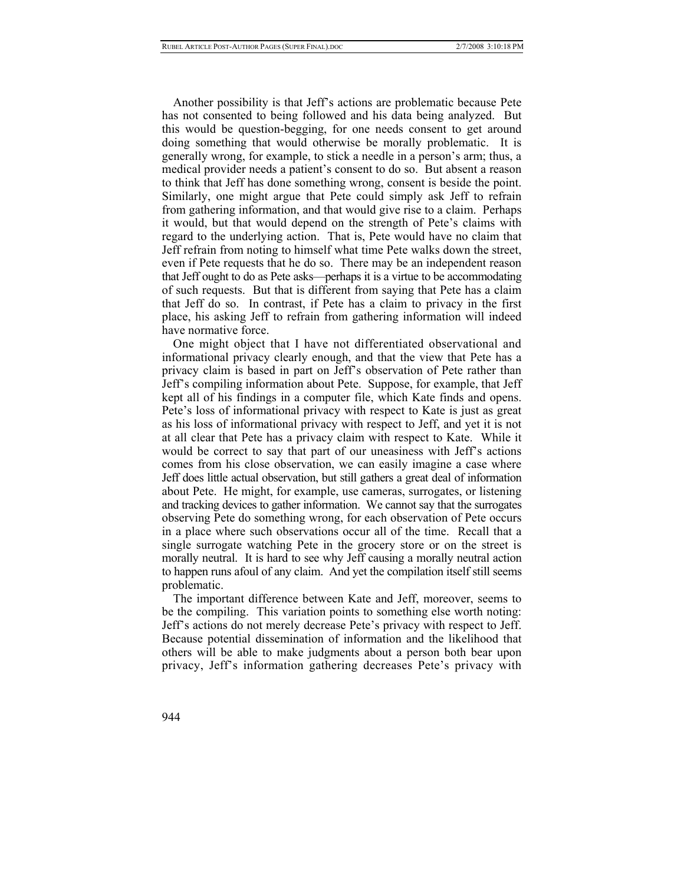Another possibility is that Jeff's actions are problematic because Pete has not consented to being followed and his data being analyzed. But this would be question-begging, for one needs consent to get around doing something that would otherwise be morally problematic. It is generally wrong, for example, to stick a needle in a person's arm; thus, a medical provider needs a patient's consent to do so. But absent a reason to think that Jeff has done something wrong, consent is beside the point. Similarly, one might argue that Pete could simply ask Jeff to refrain from gathering information, and that would give rise to a claim. Perhaps it would, but that would depend on the strength of Pete's claims with regard to the underlying action. That is, Pete would have no claim that Jeff refrain from noting to himself what time Pete walks down the street, even if Pete requests that he do so. There may be an independent reason that Jeff ought to do as Pete asks—perhaps it is a virtue to be accommodating of such requests. But that is different from saying that Pete has a claim that Jeff do so. In contrast, if Pete has a claim to privacy in the first place, his asking Jeff to refrain from gathering information will indeed have normative force.

One might object that I have not differentiated observational and informational privacy clearly enough, and that the view that Pete has a privacy claim is based in part on Jeff's observation of Pete rather than Jeff's compiling information about Pete. Suppose, for example, that Jeff kept all of his findings in a computer file, which Kate finds and opens. Pete's loss of informational privacy with respect to Kate is just as great as his loss of informational privacy with respect to Jeff, and yet it is not at all clear that Pete has a privacy claim with respect to Kate. While it would be correct to say that part of our uneasiness with Jeff's actions comes from his close observation, we can easily imagine a case where Jeff does little actual observation, but still gathers a great deal of information about Pete. He might, for example, use cameras, surrogates, or listening and tracking devices to gather information. We cannot say that the surrogates observing Pete do something wrong, for each observation of Pete occurs in a place where such observations occur all of the time. Recall that a single surrogate watching Pete in the grocery store or on the street is morally neutral. It is hard to see why Jeff causing a morally neutral action to happen runs afoul of any claim. And yet the compilation itself still seems problematic.

The important difference between Kate and Jeff, moreover, seems to be the compiling. This variation points to something else worth noting: Jeff's actions do not merely decrease Pete's privacy with respect to Jeff. Because potential dissemination of information and the likelihood that others will be able to make judgments about a person both bear upon privacy, Jeff's information gathering decreases Pete's privacy with

944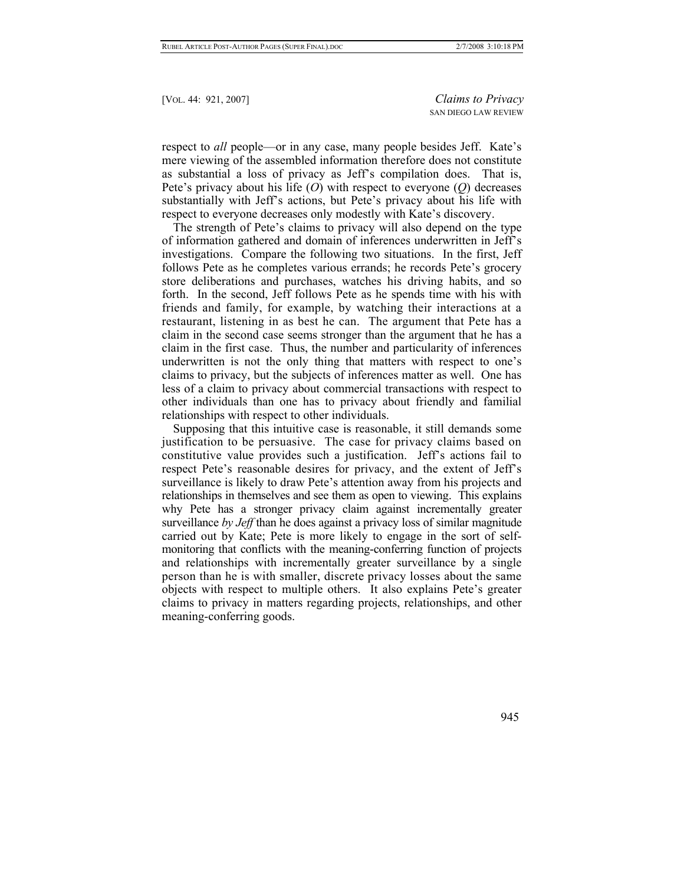respect to *all* people—or in any case, many people besides Jeff. Kate's mere viewing of the assembled information therefore does not constitute as substantial a loss of privacy as Jeff's compilation does. That is, Pete's privacy about his life (*O*) with respect to everyone (*Q*) decreases substantially with Jeff's actions, but Pete's privacy about his life with respect to everyone decreases only modestly with Kate's discovery.

The strength of Pete's claims to privacy will also depend on the type of information gathered and domain of inferences underwritten in Jeff's investigations. Compare the following two situations. In the first, Jeff follows Pete as he completes various errands; he records Pete's grocery store deliberations and purchases, watches his driving habits, and so forth. In the second, Jeff follows Pete as he spends time with his with friends and family, for example, by watching their interactions at a restaurant, listening in as best he can. The argument that Pete has a claim in the second case seems stronger than the argument that he has a claim in the first case. Thus, the number and particularity of inferences underwritten is not the only thing that matters with respect to one's claims to privacy, but the subjects of inferences matter as well. One has less of a claim to privacy about commercial transactions with respect to other individuals than one has to privacy about friendly and familial relationships with respect to other individuals.

Supposing that this intuitive case is reasonable, it still demands some justification to be persuasive. The case for privacy claims based on constitutive value provides such a justification. Jeff's actions fail to respect Pete's reasonable desires for privacy, and the extent of Jeff's surveillance is likely to draw Pete's attention away from his projects and relationships in themselves and see them as open to viewing. This explains why Pete has a stronger privacy claim against incrementally greater surveillance *by Jeff* than he does against a privacy loss of similar magnitude carried out by Kate; Pete is more likely to engage in the sort of selfmonitoring that conflicts with the meaning-conferring function of projects and relationships with incrementally greater surveillance by a single person than he is with smaller, discrete privacy losses about the same objects with respect to multiple others. It also explains Pete's greater claims to privacy in matters regarding projects, relationships, and other meaning-conferring goods.

945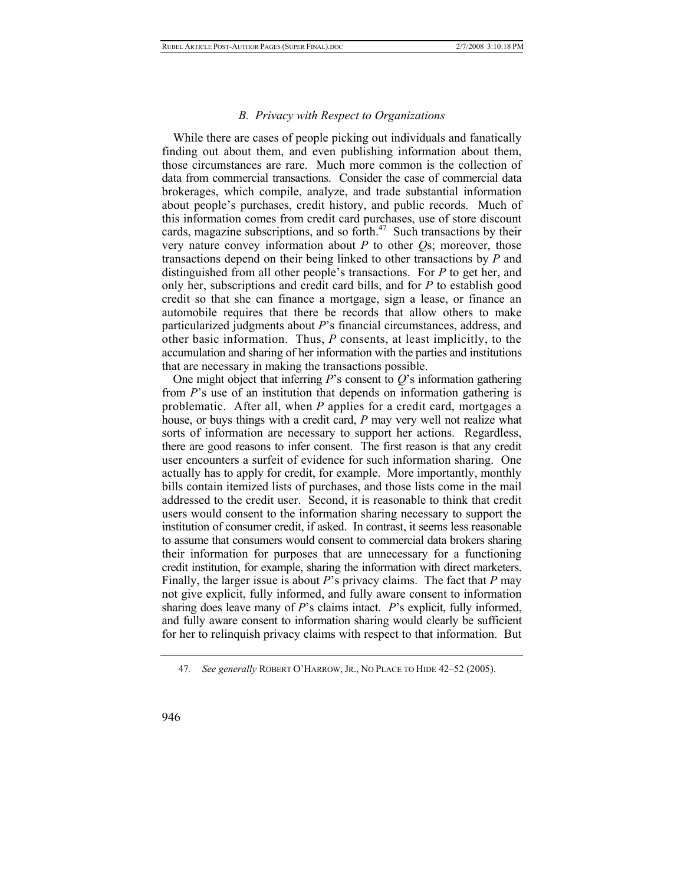#### *B. Privacy with Respect to Organizations*

While there are cases of people picking out individuals and fanatically finding out about them, and even publishing information about them, those circumstances are rare. Much more common is the collection of data from commercial transactions. Consider the case of commercial data brokerages, which compile, analyze, and trade substantial information about people's purchases, credit history, and public records. Much of this information comes from credit card purchases, use of store discount cards, magazine subscriptions, and so forth. $47$  Such transactions by their very nature convey information about *P* to other *Q*s; moreover, those transactions depend on their being linked to other transactions by *P* and distinguished from all other people's transactions. For *P* to get her, and only her, subscriptions and credit card bills, and for *P* to establish good credit so that she can finance a mortgage, sign a lease, or finance an automobile requires that there be records that allow others to make particularized judgments about *P*'s financial circumstances, address, and other basic information. Thus, *P* consents, at least implicitly, to the accumulation and sharing of her information with the parties and institutions that are necessary in making the transactions possible.

One might object that inferring *P*'s consent to *Q*'s information gathering from *P*'s use of an institution that depends on information gathering is problematic. After all, when *P* applies for a credit card, mortgages a house, or buys things with a credit card, *P* may very well not realize what sorts of information are necessary to support her actions. Regardless, there are good reasons to infer consent. The first reason is that any credit user encounters a surfeit of evidence for such information sharing. One actually has to apply for credit, for example. More importantly, monthly bills contain itemized lists of purchases, and those lists come in the mail addressed to the credit user. Second, it is reasonable to think that credit users would consent to the information sharing necessary to support the institution of consumer credit, if asked. In contrast, it seems less reasonable to assume that consumers would consent to commercial data brokers sharing their information for purposes that are unnecessary for a functioning credit institution, for example, sharing the information with direct marketers. Finally, the larger issue is about *P*'s privacy claims. The fact that *P* may not give explicit, fully informed, and fully aware consent to information sharing does leave many of *P*'s claims intact. *P*'s explicit, fully informed, and fully aware consent to information sharing would clearly be sufficient for her to relinquish privacy claims with respect to that information. But

<span id="page-25-0"></span><sup>47</sup>*. See generally* ROBERT O'HARROW, JR., NO PLACE TO HIDE 42–52 (2005).

<sup>946</sup>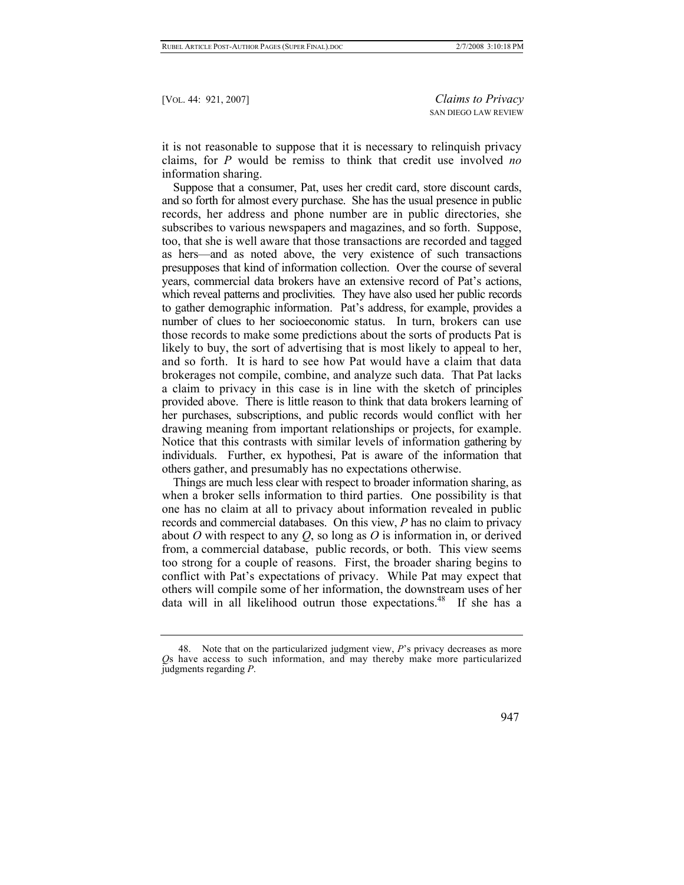it is not reasonable to suppose that it is necessary to relinquish privacy claims, for *P* would be remiss to think that credit use involved *no* information sharing.

Suppose that a consumer, Pat, uses her credit card, store discount cards, and so forth for almost every purchase. She has the usual presence in public records, her address and phone number are in public directories, she subscribes to various newspapers and magazines, and so forth. Suppose, too, that she is well aware that those transactions are recorded and tagged as hers—and as noted above, the very existence of such transactions presupposes that kind of information collection. Over the course of several years, commercial data brokers have an extensive record of Pat's actions, which reveal patterns and proclivities. They have also used her public records to gather demographic information. Pat's address, for example, provides a number of clues to her socioeconomic status. In turn, brokers can use those records to make some predictions about the sorts of products Pat is likely to buy, the sort of advertising that is most likely to appeal to her, and so forth. It is hard to see how Pat would have a claim that data brokerages not compile, combine, and analyze such data. That Pat lacks a claim to privacy in this case is in line with the sketch of principles provided above. There is little reason to think that data brokers learning of her purchases, subscriptions, and public records would conflict with her drawing meaning from important relationships or projects, for example. Notice that this contrasts with similar levels of information gathering by individuals. Further, ex hypothesi, Pat is aware of the information that others gather, and presumably has no expectations otherwise.

Things are much less clear with respect to broader information sharing, as when a broker sells information to third parties. One possibility is that one has no claim at all to privacy about information revealed in public records and commercial databases. On this view, *P* has no claim to privacy about *O* with respect to any *Q*, so long as *O* is information in, or derived from, a commercial database, public records, or both. This view seems too strong for a couple of reasons. First, the broader sharing begins to conflict with Pat's expectations of privacy. While Pat may expect that others will compile some of her information, the downstream uses of her data will in all likelihood outrun those expectations.<sup>48</sup> If she has a

<span id="page-26-0"></span> <sup>48.</sup> Note that on the particularized judgment view, *P*'s privacy decreases as more *Q*s have access to such information, and may thereby make more particularized judgments regarding *P*.

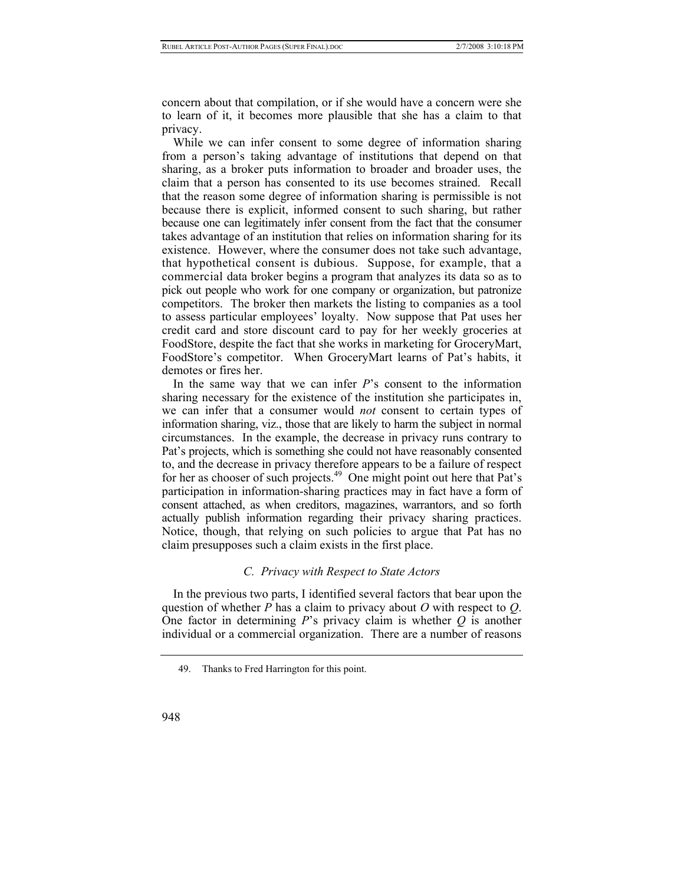concern about that compilation, or if she would have a concern were she to learn of it, it becomes more plausible that she has a claim to that privacy.

While we can infer consent to some degree of information sharing from a person's taking advantage of institutions that depend on that sharing, as a broker puts information to broader and broader uses, the claim that a person has consented to its use becomes strained. Recall that the reason some degree of information sharing is permissible is not because there is explicit, informed consent to such sharing, but rather because one can legitimately infer consent from the fact that the consumer takes advantage of an institution that relies on information sharing for its existence. However, where the consumer does not take such advantage, that hypothetical consent is dubious. Suppose, for example, that a commercial data broker begins a program that analyzes its data so as to pick out people who work for one company or organization, but patronize competitors. The broker then markets the listing to companies as a tool to assess particular employees' loyalty. Now suppose that Pat uses her credit card and store discount card to pay for her weekly groceries at FoodStore, despite the fact that she works in marketing for GroceryMart, FoodStore's competitor. When GroceryMart learns of Pat's habits, it demotes or fires her.

In the same way that we can infer *P*'s consent to the information sharing necessary for the existence of the institution she participates in, we can infer that a consumer would *not* consent to certain types of information sharing, viz., those that are likely to harm the subject in normal circumstances. In the example, the decrease in privacy runs contrary to Pat's projects, which is something she could not have reasonably consented to, and the decrease in privacy therefore appears to be a failure of respect for her as chooser of such projects.<sup>49</sup> One might point out here that Pat's participation in information-sharing practices may in fact have a form of consent attached, as when creditors, magazines, warrantors, and so forth actually publish information regarding their privacy sharing practices. Notice, though, that relying on such policies to argue that Pat has no claim presupposes such a claim exists in the first place.

# *C. Privacy with Respect to State Actors*

In the previous two parts, I identified several factors that bear upon the question of whether *P* has a claim to privacy about *O* with respect to *Q*. One factor in determining *P*'s privacy claim is whether *Q* is another individual or a commercial organization. There are a number of reasons

<span id="page-27-0"></span> <sup>49.</sup> Thanks to Fred Harrington for this point.

<sup>948</sup>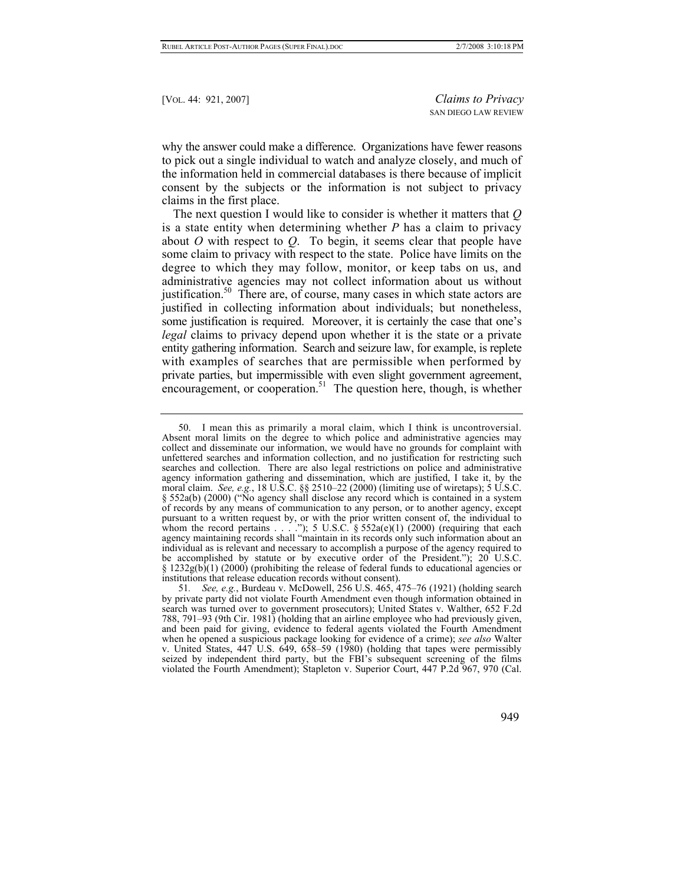why the answer could make a difference. Organizations have fewer reasons to pick out a single individual to watch and analyze closely, and much of the information held in commercial databases is there because of implicit consent by the subjects or the information is not subject to privacy claims in the first place.

The next question I would like to consider is whether it matters that *Q* is a state entity when determining whether *P* has a claim to privacy about *O* with respect to *Q*. To begin, it seems clear that people have some claim to privacy with respect to the state. Police have limits on the degree to which they may follow, monitor, or keep tabs on us, and administrative agencies may not collect information about us without justification.<sup>50</sup> There are, of course, many cases in which state actors are justified in collecting information about individuals; but nonetheless, some justification is required. Moreover, it is certainly the case that one's *legal* claims to privacy depend upon whether it is the state or a private entity gathering information. Search and seizure law, for example, is replete with examples of searches that are permissible when performed by private parties, but impermissible with even slight government agreement, encouragement, or cooperation.<sup>51</sup> The question here, though, is whether

949

<span id="page-28-0"></span> <sup>50.</sup> I mean this as primarily a moral claim, which I think is uncontroversial. Absent moral limits on the degree to which police and administrative agencies may collect and disseminate our information, we would have no grounds for complaint with unfettered searches and information collection, and no justification for restricting such searches and collection. There are also legal restrictions on police and administrative agency information gathering and dissemination, which are justified, I take it, by the moral claim. *See, e.g.*, 18 U.S.C. §§ 2510–22 (2000) (limiting use of wiretaps); 5 U.S.C. § 552a(b) (2000) ("No agency shall disclose any record which is contained in a system of records by any means of communication to any person, or to another agency, except pursuant to a written request by, or with the prior written consent of, the individual to whom the record pertains  $\dots$  ."); 5 U.S.C. § 552a(e)(1) (2000) (requiring that each agency maintaining records shall "maintain in its records only such information about an individual as is relevant and necessary to accomplish a purpose of the agency required to be accomplished by statute or by executive order of the President."); 20 U.S.C. § 1232g(b)(1) (2000) (prohibiting the release of federal funds to educational agencies or institutions that release education records without consent).

<span id="page-28-1"></span><sup>51</sup>*. See, e.g.*, Burdeau v. McDowell, 256 U.S. 465, 475–76 (1921) (holding search by private party did not violate Fourth Amendment even though information obtained in search was turned over to government prosecutors); United States v. Walther, 652 F.2d 788, 791–93 (9th Cir. 1981) (holding that an airline employee who had previously given, and been paid for giving, evidence to federal agents violated the Fourth Amendment when he opened a suspicious package looking for evidence of a crime); *see also* Walter v. United States,  $447$  U.S.  $649$ ,  $658-59$  (1980) (holding that tapes were permissibly seized by independent third party, but the FBI's subsequent screening of the films violated the Fourth Amendment); Stapleton v. Superior Court, 447 P.2d 967, 970 (Cal.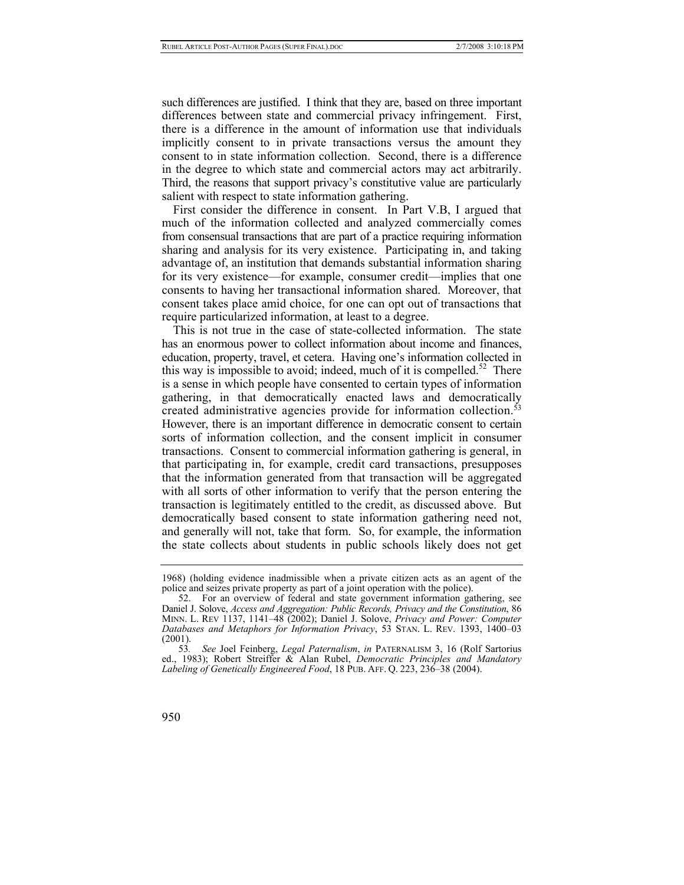such differences are justified. I think that they are, based on three important differences between state and commercial privacy infringement. First, there is a difference in the amount of information use that individuals implicitly consent to in private transactions versus the amount they consent to in state information collection. Second, there is a difference in the degree to which state and commercial actors may act arbitrarily. Third, the reasons that support privacy's constitutive value are particularly salient with respect to state information gathering.

First consider the difference in consent. In Part V.B, I argued that much of the information collected and analyzed commercially comes from consensual transactions that are part of a practice requiring information sharing and analysis for its very existence. Participating in, and taking advantage of, an institution that demands substantial information sharing for its very existence—for example, consumer credit—implies that one consents to having her transactional information shared. Moreover, that consent takes place amid choice, for one can opt out of transactions that require particularized information, at least to a degree.

This is not true in the case of state-collected information. The state has an enormous power to collect information about income and finances, education, property, travel, et cetera. Having one's information collected in this way is impossible to avoid; indeed, much of it is compelled.<sup>52</sup> There is a sense in which people have consented to certain types of information gathering, in that democratically enacted laws and democratically created administrative agencies provide for information collection.<sup>53</sup> However, there is an important difference in democratic consent to certain sorts of information collection, and the consent implicit in consumer transactions. Consent to commercial information gathering is general, in that participating in, for example, credit card transactions, presupposes that the information generated from that transaction will be aggregated with all sorts of other information to verify that the person entering the transaction is legitimately entitled to the credit, as discussed above. But democratically based consent to state information gathering need not, and generally will not, take that form. So, for example, the information the state collects about students in public schools likely does not get

<span id="page-29-1"></span><sup>53</sup>*. See* Joel Feinberg, *Legal Paternalism*, *in* PATERNALISM 3, 16 (Rolf Sartorius ed., 1983); Robert Streiffer & Alan Rubel, *Democratic Principles and Mandatory Labeling of Genetically Engineered Food*, 18 PUB. AFF. Q. 223, 236–38 (2004).



<sup>1968) (</sup>holding evidence inadmissible when a private citizen acts as an agent of the police and seizes private property as part of a joint operation with the police).

<span id="page-29-0"></span> <sup>52.</sup> For an overview of federal and state government information gathering, see Daniel J. Solove, *Access and Aggregation: Public Records, Privacy and the Constitution*, 86 MINN. L. REV 1137, 1141–48 (2002); Daniel J. Solove, *Privacy and Power: Computer Databases and Metaphors for Information Privacy*, 53 STAN. L. REV. 1393, 1400–03 (2001).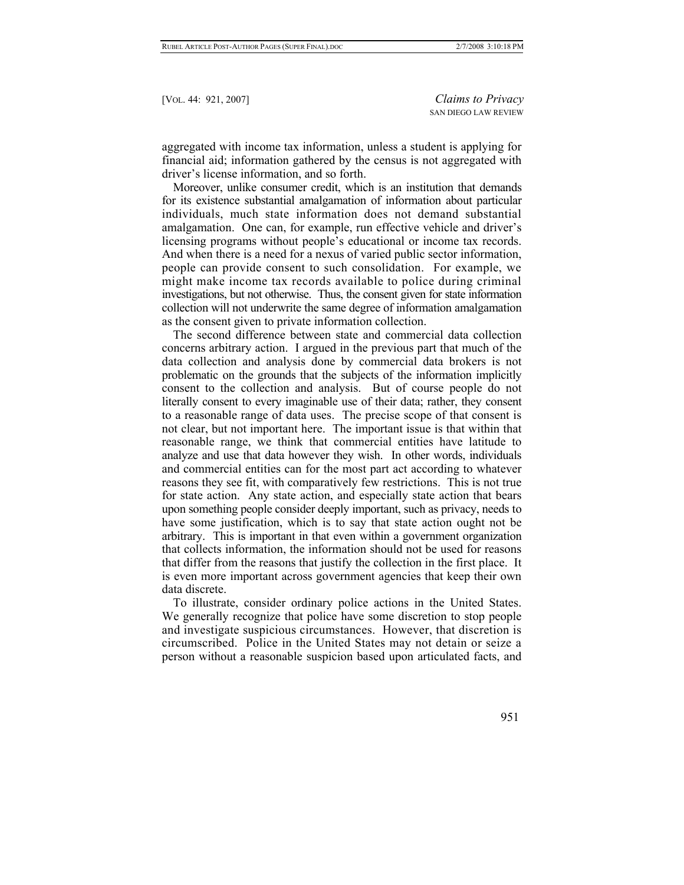aggregated with income tax information, unless a student is applying for financial aid; information gathered by the census is not aggregated with driver's license information, and so forth.

Moreover, unlike consumer credit, which is an institution that demands for its existence substantial amalgamation of information about particular individuals, much state information does not demand substantial amalgamation. One can, for example, run effective vehicle and driver's licensing programs without people's educational or income tax records. And when there is a need for a nexus of varied public sector information, people can provide consent to such consolidation. For example, we might make income tax records available to police during criminal investigations, but not otherwise. Thus, the consent given for state information collection will not underwrite the same degree of information amalgamation as the consent given to private information collection.

The second difference between state and commercial data collection concerns arbitrary action. I argued in the previous part that much of the data collection and analysis done by commercial data brokers is not problematic on the grounds that the subjects of the information implicitly consent to the collection and analysis. But of course people do not literally consent to every imaginable use of their data; rather, they consent to a reasonable range of data uses. The precise scope of that consent is not clear, but not important here. The important issue is that within that reasonable range, we think that commercial entities have latitude to analyze and use that data however they wish. In other words, individuals and commercial entities can for the most part act according to whatever reasons they see fit, with comparatively few restrictions. This is not true for state action. Any state action, and especially state action that bears upon something people consider deeply important, such as privacy, needs to have some justification, which is to say that state action ought not be arbitrary. This is important in that even within a government organization that collects information, the information should not be used for reasons that differ from the reasons that justify the collection in the first place. It is even more important across government agencies that keep their own data discrete.

To illustrate, consider ordinary police actions in the United States. We generally recognize that police have some discretion to stop people and investigate suspicious circumstances. However, that discretion is circumscribed. Police in the United States may not detain or seize a person without a reasonable suspicion based upon articulated facts, and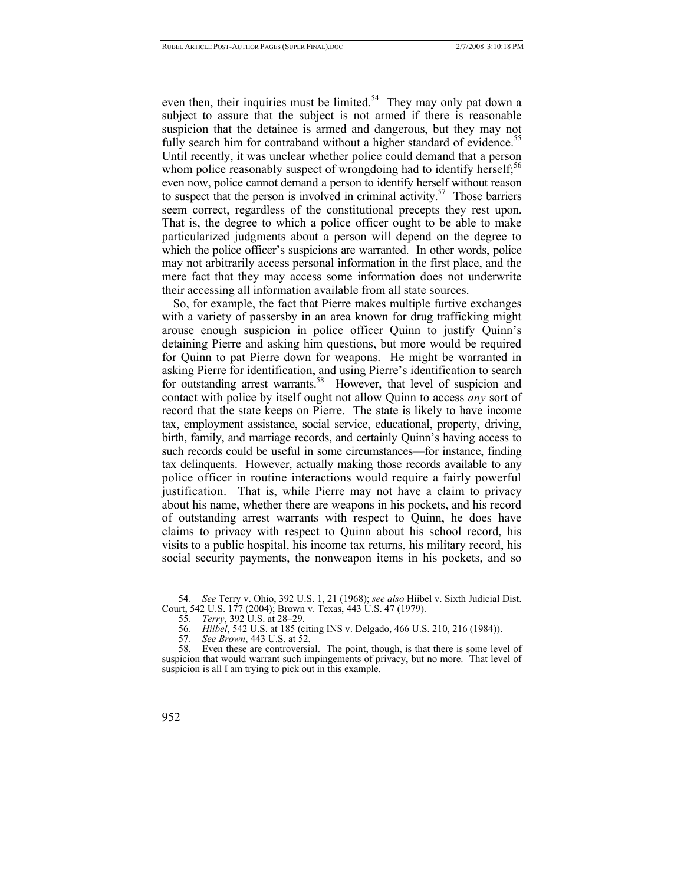even then, their inquiries must be limited.<sup>54</sup> They may only pat down a subject to assure that the subject is not armed if there is reasonable suspicion that the detainee is armed and dangerous, but they may not fully search him for contraband without a higher standard of evidence.<sup>55</sup> Until recently, it was unclear whether police could demand that a person whom police reasonably suspect of wrongdoing had to identify herself;<sup>[56](#page-31-2)</sup> even now, police cannot demand a person to identify herself without reason to suspect that the person is involved in criminal activity.<sup>57</sup> Those barriers seem correct, regardless of the constitutional precepts they rest upon. That is, the degree to which a police officer ought to be able to make particularized judgments about a person will depend on the degree to which the police officer's suspicions are warranted. In other words, police may not arbitrarily access personal information in the first place, and the mere fact that they may access some information does not underwrite their accessing all information available from all state sources.

So, for example, the fact that Pierre makes multiple furtive exchanges with a variety of passersby in an area known for drug trafficking might arouse enough suspicion in police officer Quinn to justify Quinn's detaining Pierre and asking him questions, but more would be required for Quinn to pat Pierre down for weapons. He might be warranted in asking Pierre for identification, and using Pierre's identification to search for outstanding arrest warrants.<sup>58</sup> However, that level of suspicion and contact with police by itself ought not allow Quinn to access *any* sort of record that the state keeps on Pierre. The state is likely to have income tax, employment assistance, social service, educational, property, driving, birth, family, and marriage records, and certainly Quinn's having access to such records could be useful in some circumstances—for instance, finding tax delinquents. However, actually making those records available to any police officer in routine interactions would require a fairly powerful justification. That is, while Pierre may not have a claim to privacy about his name, whether there are weapons in his pockets, and his record of outstanding arrest warrants with respect to Quinn, he does have claims to privacy with respect to Quinn about his school record, his visits to a public hospital, his income tax returns, his military record, his social security payments, the nonweapon items in his pockets, and so

Even these are controversial. The point, though, is that there is some level of suspicion that would warrant such impingements of privacy, but no more. That level of suspicion is all I am trying to pick out in this example.



<span id="page-31-0"></span><sup>54</sup>*. See* Terry v. Ohio, 392 U.S. 1, 21 (1968); *see also* Hiibel v. Sixth Judicial Dist. Court, 542 U.S. 177 (2004); Brown v. Texas, 443 U.S. 47 (1979).

<span id="page-31-1"></span><sup>55</sup>*. Terry*, 392 U.S. at 28–29.

<span id="page-31-2"></span><sup>56</sup>*. Hiibel*, 542 U.S. at 185 (citing INS v. Delgado, 466 U.S. 210, 216 (1984)).

<span id="page-31-4"></span><span id="page-31-3"></span><sup>57</sup>*. See Brown*, 443 U.S. at 52.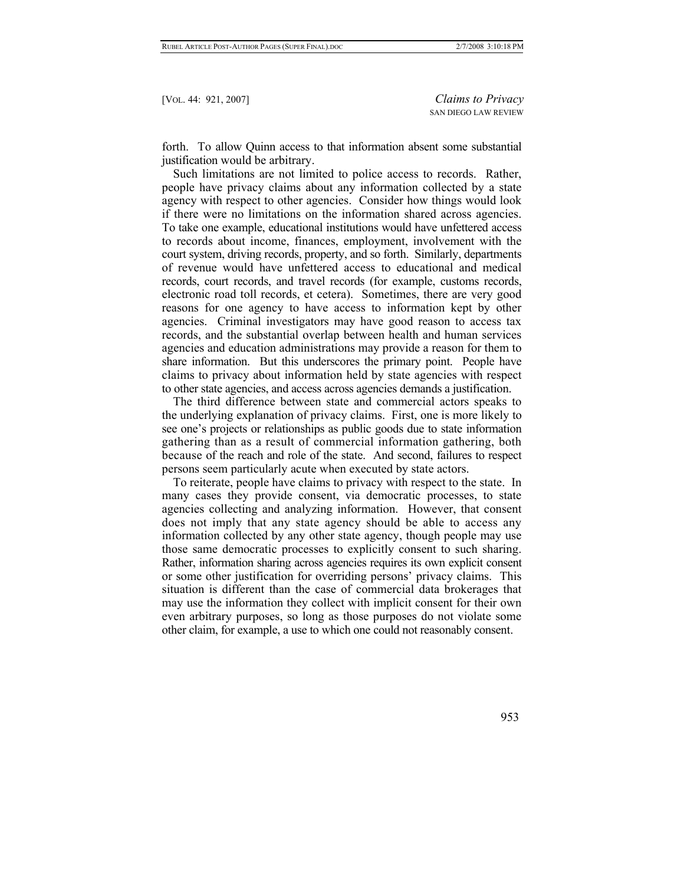forth. To allow Quinn access to that information absent some substantial justification would be arbitrary.

Such limitations are not limited to police access to records. Rather, people have privacy claims about any information collected by a state agency with respect to other agencies. Consider how things would look if there were no limitations on the information shared across agencies. To take one example, educational institutions would have unfettered access to records about income, finances, employment, involvement with the court system, driving records, property, and so forth. Similarly, departments of revenue would have unfettered access to educational and medical records, court records, and travel records (for example, customs records, electronic road toll records, et cetera). Sometimes, there are very good reasons for one agency to have access to information kept by other agencies. Criminal investigators may have good reason to access tax records, and the substantial overlap between health and human services agencies and education administrations may provide a reason for them to share information. But this underscores the primary point. People have claims to privacy about information held by state agencies with respect to other state agencies, and access across agencies demands a justification.

The third difference between state and commercial actors speaks to the underlying explanation of privacy claims. First, one is more likely to see one's projects or relationships as public goods due to state information gathering than as a result of commercial information gathering, both because of the reach and role of the state. And second, failures to respect persons seem particularly acute when executed by state actors.

To reiterate, people have claims to privacy with respect to the state. In many cases they provide consent, via democratic processes, to state agencies collecting and analyzing information. However, that consent does not imply that any state agency should be able to access any information collected by any other state agency, though people may use those same democratic processes to explicitly consent to such sharing. Rather, information sharing across agencies requires its own explicit consent or some other justification for overriding persons' privacy claims. This situation is different than the case of commercial data brokerages that may use the information they collect with implicit consent for their own even arbitrary purposes, so long as those purposes do not violate some other claim, for example, a use to which one could not reasonably consent.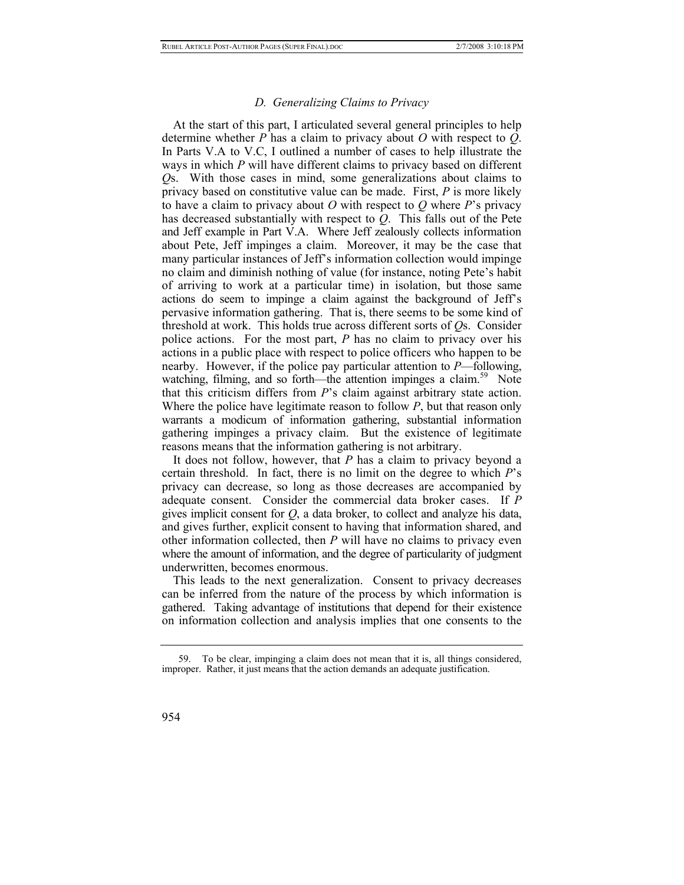# *D. Generalizing Claims to Privacy*

At the start of this part, I articulated several general principles to help determine whether *P* has a claim to privacy about *O* with respect to *Q*. In Parts V.A to V.C, I outlined a number of cases to help illustrate the ways in which *P* will have different claims to privacy based on different *Q*s. With those cases in mind, some generalizations about claims to privacy based on constitutive value can be made. First, *P* is more likely to have a claim to privacy about *O* with respect to *Q* where *P*'s privacy has decreased substantially with respect to *Q*. This falls out of the Pete and Jeff example in Part V.A. Where Jeff zealously collects information about Pete, Jeff impinges a claim. Moreover, it may be the case that many particular instances of Jeff's information collection would impinge no claim and diminish nothing of value (for instance, noting Pete's habit of arriving to work at a particular time) in isolation, but those same actions do seem to impinge a claim against the background of Jeff's pervasive information gathering. That is, there seems to be some kind of threshold at work. This holds true across different sorts of *Q*s. Consider police actions. For the most part, *P* has no claim to privacy over his actions in a public place with respect to police officers who happen to be nearby. However, if the police pay particular attention to *P*—following, watching, filming, and so forth—the attention impinges a claim.<sup>59</sup> Note that this criticism differs from *P*'s claim against arbitrary state action. Where the police have legitimate reason to follow *P*, but that reason only warrants a modicum of information gathering, substantial information gathering impinges a privacy claim. But the existence of legitimate reasons means that the information gathering is not arbitrary.

It does not follow, however, that *P* has a claim to privacy beyond a certain threshold. In fact, there is no limit on the degree to which *P*'s privacy can decrease, so long as those decreases are accompanied by adequate consent. Consider the commercial data broker cases. If *P* gives implicit consent for *Q*, a data broker, to collect and analyze his data, and gives further, explicit consent to having that information shared, and other information collected, then *P* will have no claims to privacy even where the amount of information, and the degree of particularity of judgment underwritten, becomes enormous.

This leads to the next generalization. Consent to privacy decreases can be inferred from the nature of the process by which information is gathered. Taking advantage of institutions that depend for their existence on information collection and analysis implies that one consents to the

<span id="page-33-0"></span> <sup>59.</sup> To be clear, impinging a claim does not mean that it is, all things considered, improper. Rather, it just means that the action demands an adequate justification.

<sup>954</sup>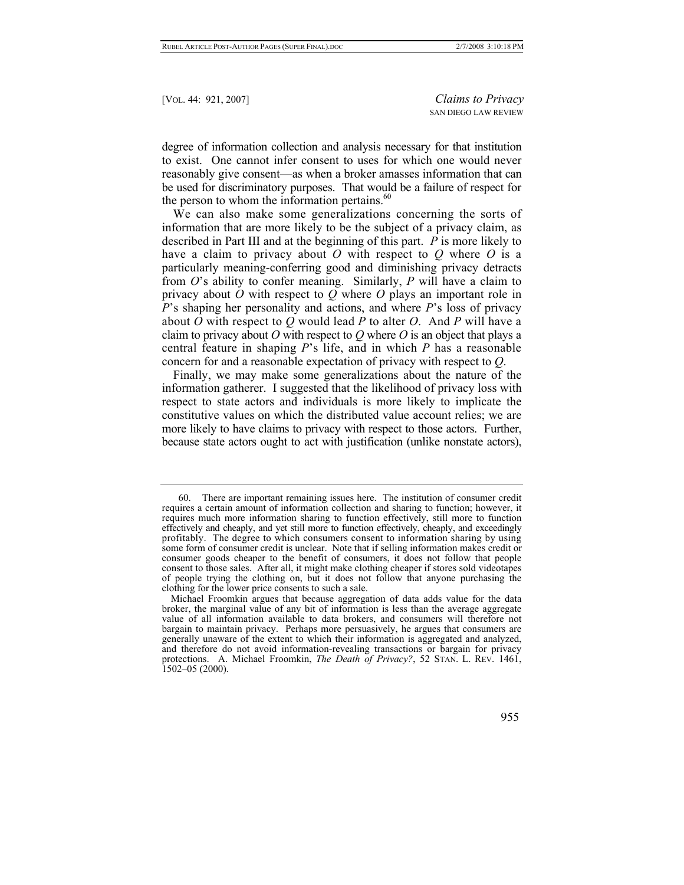degree of information collection and analysis necessary for that institution to exist. One cannot infer consent to uses for which one would never reasonably give consent—as when a broker amasses information that can be used for discriminatory purposes. That would be a failure of respect for the person to whom the information pertains. $60$ 

We can also make some generalizations concerning the sorts of information that are more likely to be the subject of a privacy claim, as described in Part III and at the beginning of this part. *P* is more likely to have a claim to privacy about *O* with respect to *Q* where *O* is a particularly meaning-conferring good and diminishing privacy detracts from *O*'s ability to confer meaning. Similarly, *P* will have a claim to privacy about *O* with respect to *Q* where *O* plays an important role in *P*'s shaping her personality and actions, and where *P*'s loss of privacy about *O* with respect to *Q* would lead *P* to alter *O*. And *P* will have a claim to privacy about *O* with respect to *Q* where *O* is an object that plays a central feature in shaping *P*'s life, and in which *P* has a reasonable concern for and a reasonable expectation of privacy with respect to *Q*.

Finally, we may make some generalizations about the nature of the information gatherer. I suggested that the likelihood of privacy loss with respect to state actors and individuals is more likely to implicate the constitutive values on which the distributed value account relies; we are more likely to have claims to privacy with respect to those actors. Further, because state actors ought to act with justification (unlike nonstate actors),

Michael Froomkin argues that because aggregation of data adds value for the data broker, the marginal value of any bit of information is less than the average aggregate value of all information available to data brokers, and consumers will therefore not bargain to maintain privacy. Perhaps more persuasively, he argues that consumers are generally unaware of the extent to which their information is aggregated and analyzed, and therefore do not avoid information-revealing transactions or bargain for privacy protections. A. Michael Froomkin, *The Death of Privacy?*, 52 STAN. L. REV. 1461, 1502–05 (2000).



<span id="page-34-0"></span> <sup>60.</sup> There are important remaining issues here. The institution of consumer credit requires a certain amount of information collection and sharing to function; however, it requires much more information sharing to function effectively, still more to function effectively and cheaply, and yet still more to function effectively, cheaply, and exceedingly profitably. The degree to which consumers consent to information sharing by using some form of consumer credit is unclear. Note that if selling information makes credit or consumer goods cheaper to the benefit of consumers, it does not follow that people consent to those sales. After all, it might make clothing cheaper if stores sold videotapes of people trying the clothing on, but it does not follow that anyone purchasing the clothing for the lower price consents to such a sale.